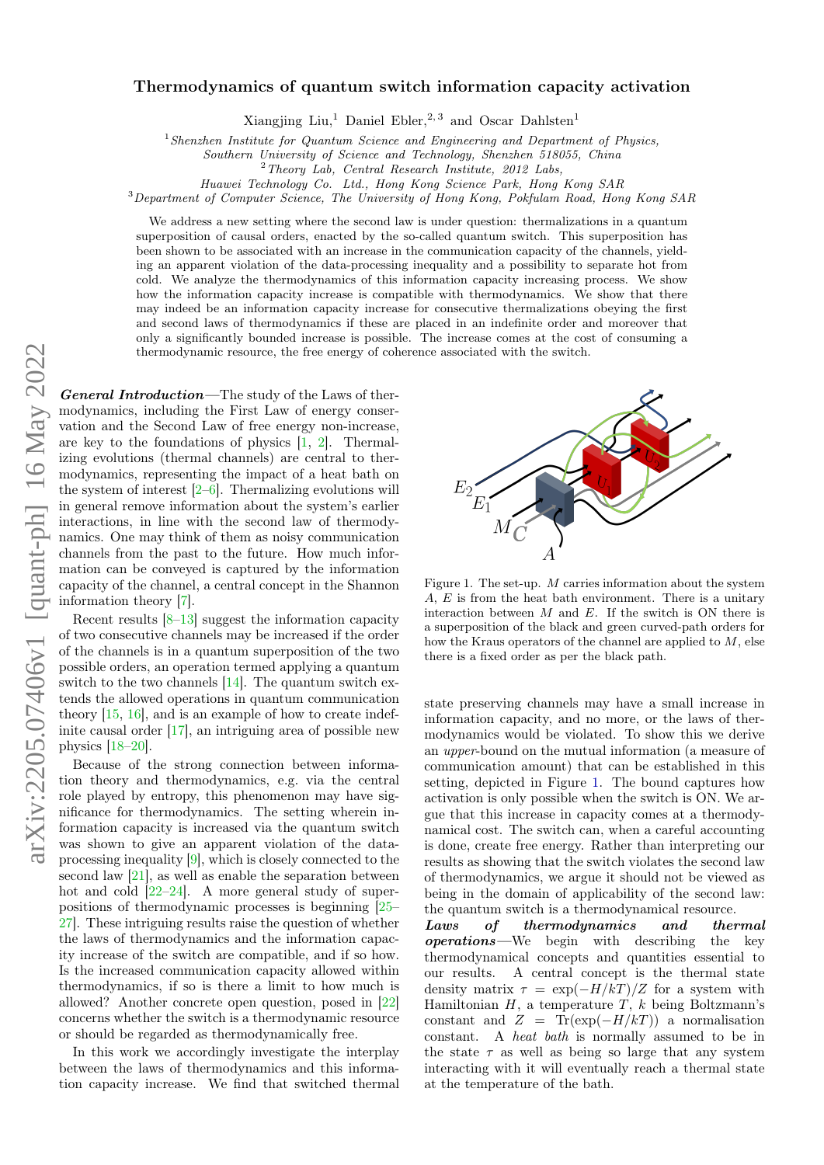# Thermodynamics of quantum switch information capacity activation

Xiangjing Liu,<sup>1</sup> Daniel Ebler,<sup>2, 3</sup> and Oscar Dahlsten<sup>1</sup>

 $1$ Shenzhen Institute for Quantum Science and Engineering and Department of Physics,

Southern University of Science and Technology, Shenzhen 518055, China

 $2$ Theory Lab, Central Research Institute, 2012 Labs,

Huawei Technology Co. Ltd., Hong Kong Science Park, Hong Kong SAR

<sup>3</sup>Department of Computer Science, The University of Hong Kong, Pokfulam Road, Hong Kong SAR

We address a new setting where the second law is under question: thermalizations in a quantum superposition of causal orders, enacted by the so-called quantum switch. This superposition has been shown to be associated with an increase in the communication capacity of the channels, yielding an apparent violation of the data-processing inequality and a possibility to separate hot from cold. We analyze the thermodynamics of this information capacity increasing process. We show how the information capacity increase is compatible with thermodynamics. We show that there may indeed be an information capacity increase for consecutive thermalizations obeying the first and second laws of thermodynamics if these are placed in an indefinite order and moreover that only a significantly bounded increase is possible. The increase comes at the cost of consuming a thermodynamic resource, the free energy of coherence associated with the switch.

General Introduction—The study of the Laws of thermodynamics, including the First Law of energy conservation and the Second Law of free energy non-increase, are key to the foundations of physics [\[1,](#page-4-0) [2\]](#page-4-1). Thermalizing evolutions (thermal channels) are central to thermodynamics, representing the impact of a heat bath on the system of interest  $[2-6]$  $[2-6]$ . Thermalizing evolutions will in general remove information about the system's earlier interactions, in line with the second law of thermodynamics. One may think of them as noisy communication channels from the past to the future. How much information can be conveyed is captured by the information capacity of the channel, a central concept in the Shannon information theory [\[7\]](#page-4-3).

Recent results [\[8](#page-4-4)[–13\]](#page-4-5) suggest the information capacity of two consecutive channels may be increased if the order of the channels is in a quantum superposition of the two possible orders, an operation termed applying a quantum switch to the two channels [\[14\]](#page-4-6). The quantum switch extends the allowed operations in quantum communication theory [\[15,](#page-4-7) [16\]](#page-4-8), and is an example of how to create indefinite causal order [\[17\]](#page-4-9), an intriguing area of possible new physics [\[18–](#page-4-10)[20\]](#page-4-11).

Because of the strong connection between information theory and thermodynamics, e.g. via the central role played by entropy, this phenomenon may have significance for thermodynamics. The setting wherein information capacity is increased via the quantum switch was shown to give an apparent violation of the dataprocessing inequality [\[9\]](#page-4-12), which is closely connected to the second law [\[21\]](#page-4-13), as well as enable the separation between hot and cold [\[22](#page-4-14)[–24\]](#page-4-15). A more general study of superpositions of thermodynamic processes is beginning [\[25–](#page-4-16) [27\]](#page-4-17). These intriguing results raise the question of whether the laws of thermodynamics and the information capacity increase of the switch are compatible, and if so how. Is the increased communication capacity allowed within thermodynamics, if so is there a limit to how much is allowed? Another concrete open question, posed in [\[22\]](#page-4-14) concerns whether the switch is a thermodynamic resource or should be regarded as thermodynamically free.

In this work we accordingly investigate the interplay between the laws of thermodynamics and this information capacity increase. We find that switched thermal



<span id="page-0-0"></span>Figure 1. The set-up. M carries information about the system A, E is from the heat bath environment. There is a unitary interaction between  $M$  and  $E$ . If the switch is ON there is a superposition of the black and green curved-path orders for how the Kraus operators of the channel are applied to M, else there is a fixed order as per the black path.

state preserving channels may have a small increase in information capacity, and no more, or the laws of thermodynamics would be violated. To show this we derive an upper-bound on the mutual information (a measure of communication amount) that can be established in this setting, depicted in Figure [1.](#page-0-0) The bound captures how activation is only possible when the switch is ON. We argue that this increase in capacity comes at a thermodynamical cost. The switch can, when a careful accounting is done, create free energy. Rather than interpreting our results as showing that the switch violates the second law of thermodynamics, we argue it should not be viewed as being in the domain of applicability of the second law: the quantum switch is a thermodynamical resource.

Laws of thermodynamics and thermal operations—We begin with describing the key thermodynamical concepts and quantities essential to our results. A central concept is the thermal state density matrix  $\tau = \exp(-H/kT)/Z$  for a system with Hamiltonian  $H$ , a temperature  $T$ ,  $k$  being Boltzmann's constant and  $Z = Tr(\exp(-H/kT))$  a normalisation constant. A heat bath is normally assumed to be in the state  $\tau$  as well as being so large that any system interacting with it will eventually reach a thermal state at the temperature of the bath.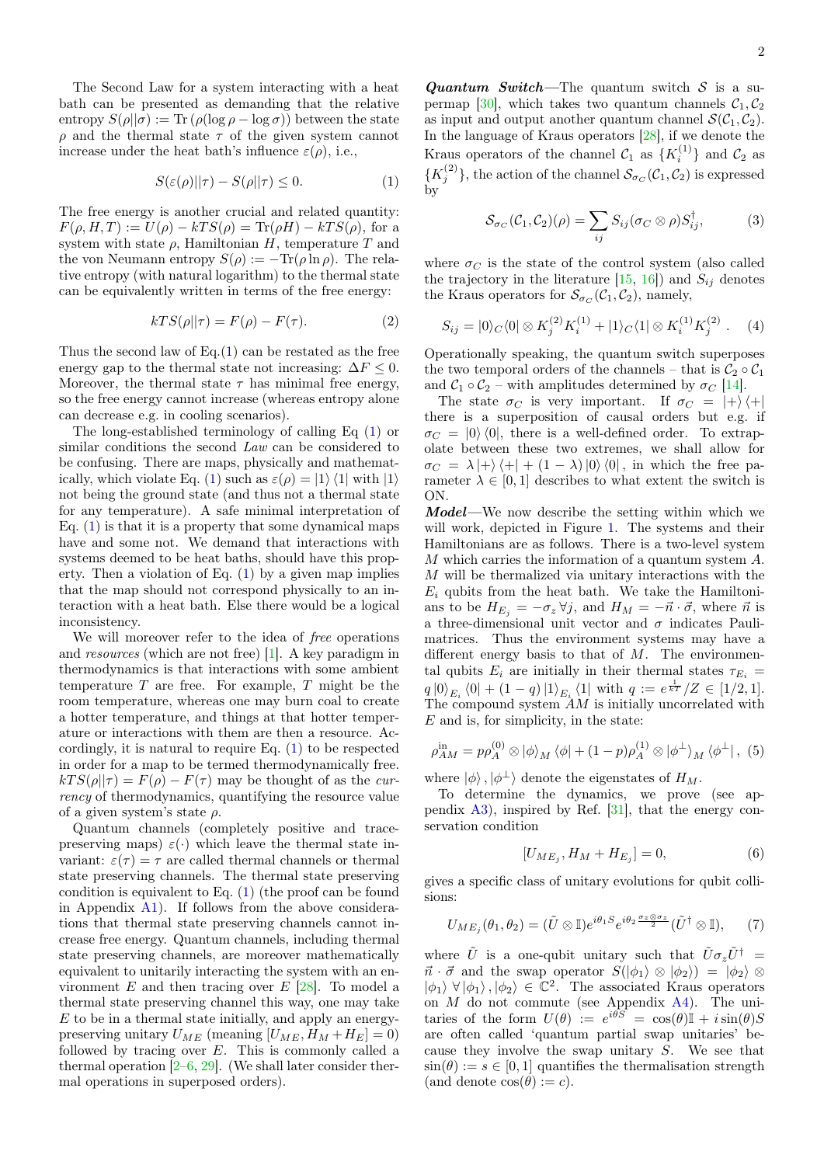The Second Law for a system interacting with a heat bath can be presented as demanding that the relative entropy  $S(\rho||\sigma) := \text{Tr}(\rho(\log \rho - \log \sigma))$  between the state  $\rho$  and the thermal state  $\tau$  of the given system cannot increase under the heat bath's influence  $\varepsilon(\rho)$ , i.e.,

$$
S(\varepsilon(\rho)||\tau) - S(\rho||\tau) \le 0. \tag{1}
$$

The free energy is another crucial and related quantity:  $F(\rho, H, T) := U(\rho) - kTS(\rho) = \text{Tr}(\rho H) - kTS(\rho)$ , for a system with state  $\rho$ , Hamiltonian H, temperature T and the von Neumann entropy  $S(\rho) := -\text{Tr}(\rho \ln \rho)$ . The relative entropy (with natural logarithm) to the thermal state can be equivalently written in terms of the free energy:

$$
kTS(\rho||\tau) = F(\rho) - F(\tau). \tag{2}
$$

Thus the second law of  $Eq.(1)$  $Eq.(1)$  can be restated as the free energy gap to the thermal state not increasing:  $\Delta F \leq 0$ . Moreover, the thermal state  $\tau$  has minimal free energy, so the free energy cannot increase (whereas entropy alone can decrease e.g. in cooling scenarios).

The long-established terminology of calling Eq [\(1\)](#page-1-0) or similar conditions the second Law can be considered to be confusing. There are maps, physically and mathemat-ically, which violate Eq. [\(1\)](#page-1-0) such as  $\varepsilon(\rho) = |1\rangle \langle 1|$  with  $|1\rangle$ not being the ground state (and thus not a thermal state for any temperature). A safe minimal interpretation of Eq.  $(1)$  is that it is a property that some dynamical maps have and some not. We demand that interactions with systems deemed to be heat baths, should have this property. Then a violation of Eq.  $(1)$  by a given map implies that the map should not correspond physically to an interaction with a heat bath. Else there would be a logical inconsistency.

We will moreover refer to the idea of free operations and resources (which are not free) [\[1\]](#page-4-0). A key paradigm in thermodynamics is that interactions with some ambient temperature  $T$  are free. For example,  $T$  might be the room temperature, whereas one may burn coal to create a hotter temperature, and things at that hotter temperature or interactions with them are then a resource. Accordingly, it is natural to require Eq. [\(1\)](#page-1-0) to be respected in order for a map to be termed thermodynamically free.  $kTS(\rho||\tau) = F(\rho) - F(\tau)$  may be thought of as the currency of thermodynamics, quantifying the resource value of a given system's state  $\rho$ .

Quantum channels (completely positive and tracepreserving maps)  $\varepsilon(\cdot)$  which leave the thermal state invariant:  $\varepsilon(\tau) = \tau$  are called thermal channels or thermal state preserving channels. The thermal state preserving condition is equivalent to Eq. [\(1\)](#page-1-0) (the proof can be found in Appendix [A1\)](#page-6-0). If follows from the above considerations that thermal state preserving channels cannot increase free energy. Quantum channels, including thermal state preserving channels, are moreover mathematically equivalent to unitarily interacting the system with an environment  $E$  and then tracing over  $E$  [\[28\]](#page-4-18). To model a thermal state preserving channel this way, one may take  $E$  to be in a thermal state initially, and apply an energypreserving unitary  $U_{ME}$  (meaning  $[U_{ME}, H_M + H_E] = 0$ ) followed by tracing over  $E$ . This is commonly called a thermal operation  $[2-6, 29]$  $[2-6, 29]$  $[2-6, 29]$  $[2-6, 29]$ . (We shall later consider thermal operations in superposed orders).

<span id="page-1-0"></span>**Quantum Switch**—The quantum switch  $S$  is a su-permap [\[30\]](#page-4-20), which takes two quantum channels  $C_1, C_2$ as input and output another quantum channel  $\mathcal{S}(\mathcal{C}_1, \mathcal{C}_2)$ . In the language of Kraus operators [\[28\]](#page-4-18), if we denote the Kraus operators of the channel  $C_1$  as  $\{K_i^{(1)}\}$  and  $C_2$  as  $\{K_j^{(2)}\}\$ , the action of the channel  $\mathcal{S}_{\sigma_C}(\mathcal{C}_1, \mathcal{C}_2)$  is expressed by

$$
\mathcal{S}_{\sigma_C}(\mathcal{C}_1, \mathcal{C}_2)(\rho) = \sum_{ij} S_{ij} (\sigma_C \otimes \rho) S_{ij}^{\dagger}, \tag{3}
$$

where  $\sigma_C$  is the state of the control system (also called the trajectory in the literature [\[15,](#page-4-7) [16\]](#page-4-8)) and  $S_{ij}$  denotes the Kraus operators for  $\mathcal{S}_{\sigma_C}(\mathcal{C}_1, \mathcal{C}_2)$ , namely,

$$
S_{ij} = |0\rangle_C\langle 0| \otimes K_j^{(2)} K_i^{(1)} + |1\rangle_C\langle 1| \otimes K_i^{(1)} K_j^{(2)} . \quad (4)
$$

Operationally speaking, the quantum switch superposes the two temporal orders of the channels – that is  $C_2 \circ C_1$ and  $C_1 \circ C_2$  – with amplitudes determined by  $\sigma_C$  [\[14\]](#page-4-6).

The state  $\sigma_C$  is very important. If  $\sigma_C = |+\rangle \langle +|$ there is a superposition of causal orders but e.g. if  $\sigma_C = |0\rangle\langle 0|$ , there is a well-defined order. To extrapolate between these two extremes, we shall allow for  $\sigma_C = \lambda |+\rangle \langle +| + (1 - \lambda) |0\rangle \langle 0|$ , in which the free parameter  $\lambda \in [0, 1]$  describes to what extent the switch is ON.

Model—We now describe the setting within which we will work, depicted in Figure [1.](#page-0-0) The systems and their Hamiltonians are as follows. There is a two-level system M which carries the information of a quantum system A. M will be thermalized via unitary interactions with the  $E_i$  qubits from the heat bath. We take the Hamiltonians to be  $H_{E_i} = -\sigma_z \forall j$ , and  $H_M = -\vec{n} \cdot \vec{\sigma}$ , where  $\vec{n}$  is a three-dimensional unit vector and  $\sigma$  indicates Paulimatrices. Thus the environment systems may have a different energy basis to that of  $M$ . The environmental qubits  $E_i$  are initially in their thermal states  $\tau_{E_i}$  =  $q |0\rangle_{E_i} \langle 0| + (1-q) |1\rangle_{E_i} \langle 1|$  with  $q := e^{\frac{1}{kT}} / Z \in [1/2, 1].$ The compound system  $AM$  is initially uncorrelated with  $E$  and is, for simplicity, in the state:

$$
\rho_{AM}^{\text{in}} = p\rho_A^{(0)} \otimes |\phi\rangle_M \langle \phi| + (1-p)\rho_A^{(1)} \otimes |\phi^{\perp}\rangle_M \langle \phi^{\perp}|, (5)
$$

where  $|\phi\rangle$ ,  $|\phi^{\perp}\rangle$  denote the eigenstates of  $H_M$ .

To determine the dynamics, we prove (see appendix [A3\)](#page-6-1), inspired by Ref. [\[31\]](#page-5-0), that the energy conservation condition

$$
[U_{ME_j}, H_M + H_{E_j}] = 0,\t\t(6)
$$

gives a specific class of unitary evolutions for qubit collisions:

$$
U_{ME_j}(\theta_1, \theta_2) = (\tilde{U} \otimes \mathbb{I})e^{i\theta_1 S}e^{i\theta_2 \frac{\sigma_z \otimes \sigma_z}{2}} (\tilde{U}^\dagger \otimes \mathbb{I}), \qquad (7)
$$

where  $\tilde{U}$  is a one-qubit unitary such that  $\tilde{U}\sigma_z\tilde{U}^{\dagger}$  =  $\vec{n} \cdot \vec{\sigma}$  and the swap operator  $S(|\phi_1\rangle \otimes |\phi_2\rangle) = |\phi_2\rangle \otimes$  $|\phi_1\rangle \ \forall \, |\phi_1\rangle \, , |\phi_2\rangle \in \mathbb{C}^2$ . The associated Kraus operators on M do not commute (see Appendix [A4\)](#page-7-0). The unitaries of the form  $U(\theta) := e^{i\theta S} = \cos(\theta) \mathbb{I} + i \sin(\theta) S$ are often called 'quantum partial swap unitaries' because they involve the swap unitary S. We see that  $\sin(\theta) := s \in [0, 1]$  quantifies the thermalisation strength (and denote  $\cos(\theta) := c$ ).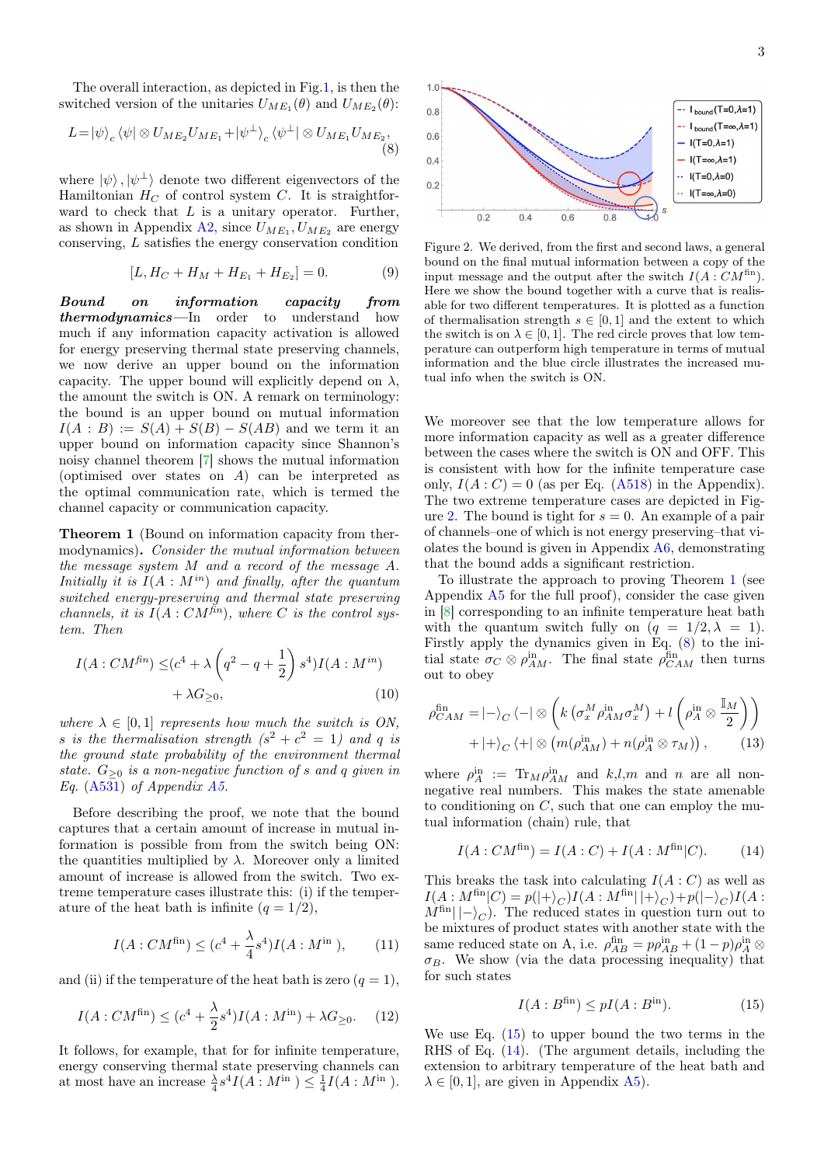The overall interaction, as depicted in Fig[.1,](#page-0-0) is then the switched version of the unitaries  $U_{ME_1}(\theta)$  and  $U_{ME_2}(\theta)$ :

$$
L = |\psi\rangle_c \langle \psi| \otimes U_{ME_2} U_{ME_1} + |\psi^{\perp}\rangle_c \langle \psi^{\perp} | \otimes U_{ME_1} U_{ME_2},
$$
\n(8)

where  $|\psi\rangle, |\psi^{\perp}\rangle$  denote two different eigenvectors of the Hamiltonian  $H_C$  of control system C. It is straightforward to check that  $L$  is a unitary operator. Further, as shown in Appendix [A2,](#page-6-2) since  $U_{ME_1}, U_{ME_2}$  are energy conserving, L satisfies the energy conservation condition

$$
[L, H_C + H_M + H_{E_1} + H_{E_2}] = 0.
$$
 (9)

Bound on information capacity from thermodynamics—In order to understand how much if any information capacity activation is allowed for energy preserving thermal state preserving channels, we now derive an upper bound on the information capacity. The upper bound will explicitly depend on  $\lambda$ , the amount the switch is ON. A remark on terminology: the bound is an upper bound on mutual information  $I(A : B) := S(A) + S(B) - S(AB)$  and we term it an upper bound on information capacity since Shannon's noisy channel theorem [\[7\]](#page-4-3) shows the mutual information (optimised over states on A) can be interpreted as the optimal communication rate, which is termed the channel capacity or communication capacity.

<span id="page-2-1"></span>Theorem 1 (Bound on information capacity from thermodynamics). Consider the mutual information between the message system M and a record of the message A. Initially it is  $I(A : M^{in})$  and finally, after the quantum switched energy-preserving and thermal state preserving channels, it is  $I(A:CM^{\tilde{f}n})$ , where C is the control system. Then

$$
I(A:CM^{fin}) \leq (c^4 + \lambda \left(q^2 - q + \frac{1}{2}\right) s^4) I(A:M^{in})
$$
  
+  $\lambda G_{\geq 0}$ , (10)

where  $\lambda \in [0, 1]$  represents how much the switch is ON, s is the thermalisation strength  $(s^2+c^2=1)$  and q is the ground state probability of the environment thermal state.  $G_{\geq 0}$  is a non-negative function of s and q given in Eq.  $(A531)$  of Appendix [A5.](#page-7-1)

Before describing the proof, we note that the bound captures that a certain amount of increase in mutual information is possible from from the switch being ON: the quantities multiplied by  $\lambda$ . Moreover only a limited amount of increase is allowed from the switch. Two extreme temperature cases illustrate this: (i) if the temperature of the heat bath is infinite  $(q = 1/2)$ ,

$$
I(A:CM^{\text{fin}}) \le (c^4 + \frac{\lambda}{4}s^4)I(A:M^{\text{in}}), \tag{11}
$$

and (ii) if the temperature of the heat bath is zero  $(q = 1)$ ,

$$
I(A:CM^{\text{fin}}) \le (c^4 + \frac{\lambda}{2}s^4)I(A:M^{\text{in}}) + \lambda G_{\ge 0}.
$$
 (12)

It follows, for example, that for for infinite temperature, energy conserving thermal state preserving channels can at most have an increase  $\frac{\lambda}{4} s^4 I(A : M^{\text{in}}) \leq \frac{1}{4} I(A : M^{\text{in}})$ .

<span id="page-2-2"></span>

<span id="page-2-0"></span>Figure 2. We derived, from the first and second laws, a general bound on the final mutual information between a copy of the input message and the output after the switch  $I(A:CM^{\text{fin}})$ . Here we show the bound together with a curve that is realisable for two different temperatures. It is plotted as a function of thermalisation strength  $s\in[0,1]$  and the extent to which the switch is on  $\lambda \in [0, 1]$ . The red circle proves that low temperature can outperform high temperature in terms of mutual information and the blue circle illustrates the increased mutual info when the switch is ON.

We moreover see that the low temperature allows for more information capacity as well as a greater difference between the cases where the switch is ON and OFF. This is consistent with how for the infinite temperature case only,  $I(A: C) = 0$  (as per Eq. [\(A518\)](#page-9-0) in the Appendix). The two extreme temperature cases are depicted in Fig-ure [2.](#page-2-0) The bound is tight for  $s = 0$ . An example of a pair of channels–one of which is not energy preserving–that violates the bound is given in Appendix [A6,](#page-10-1) demonstrating that the bound adds a significant restriction.

To illustrate the approach to proving Theorem [1](#page-2-1) (see Appendix [A5](#page-7-1) for the full proof), consider the case given in [\[8\]](#page-4-4) corresponding to an infinite temperature heat bath with the quantum switch fully on  $(q = 1/2, \lambda = 1)$ . Firstly apply the dynamics given in Eq. [\(8\)](#page-2-2) to the initial state  $\sigma_C \otimes \rho_{AM}^{\text{in}}$ . The final state  $\rho_{CAM}^{\text{fin}}$  then turns out to obey

$$
\rho_{CAM}^{\text{fin}} = |-\rangle_C \langle -| \otimes \left( k \left( \sigma_x^M \rho_{AM}^{\text{in}} \sigma_x^M \right) + l \left( \rho_A^{\text{in}} \otimes \frac{\mathbb{I}_M}{2} \right) \right) + |+\rangle_C \langle +| \otimes \left( m(\rho_{AM}^{\text{in}}) + n(\rho_A^{\text{in}} \otimes \tau_M) \right), \qquad (13)
$$

where  $\rho_A^{\text{in}} := \text{Tr}_M \rho_{AM}^{\text{in}}$  and  $k,l,m$  and n are all nonnegative real numbers. This makes the state amenable to conditioning on  $C$ , such that one can employ the mutual information (chain) rule, that

$$
I(A:CM^{\text{fin}}) = I(A:C) + I(A:M^{\text{fin}}|C). \tag{14}
$$

This breaks the task into calculating  $I(A: C)$  as well as  $I(A: M^{\text{fin}}|C) = p(|+\rangle_C)I(A: M^{\text{fin}}|+\rangle_C) + p(|-\rangle_C)I(A:$  $M^{\text{fin}} \vert \vert - \rangle_C$ ). The reduced states in question turn out to be mixtures of product states with another state with the same reduced state on A, i.e.  $\rho_{AB}^{\text{fin}} = p\rho_{AB}^{\text{in}} + (1-p)\rho_A^{\text{in}} \otimes$  $\sigma_B$ . We show (via the data processing inequality) that for such states

<span id="page-2-4"></span><span id="page-2-3"></span>
$$
I(A:B^{\text{fin}}) \le pI(A:B^{\text{in}}). \tag{15}
$$

We use Eq. [\(15\)](#page-2-3) to upper bound the two terms in the RHS of Eq. [\(14\)](#page-2-4). (The argument details, including the extension to arbitrary temperature of the heat bath and  $\lambda \in [0, 1]$ , are given in Appendix [A5\)](#page-7-1).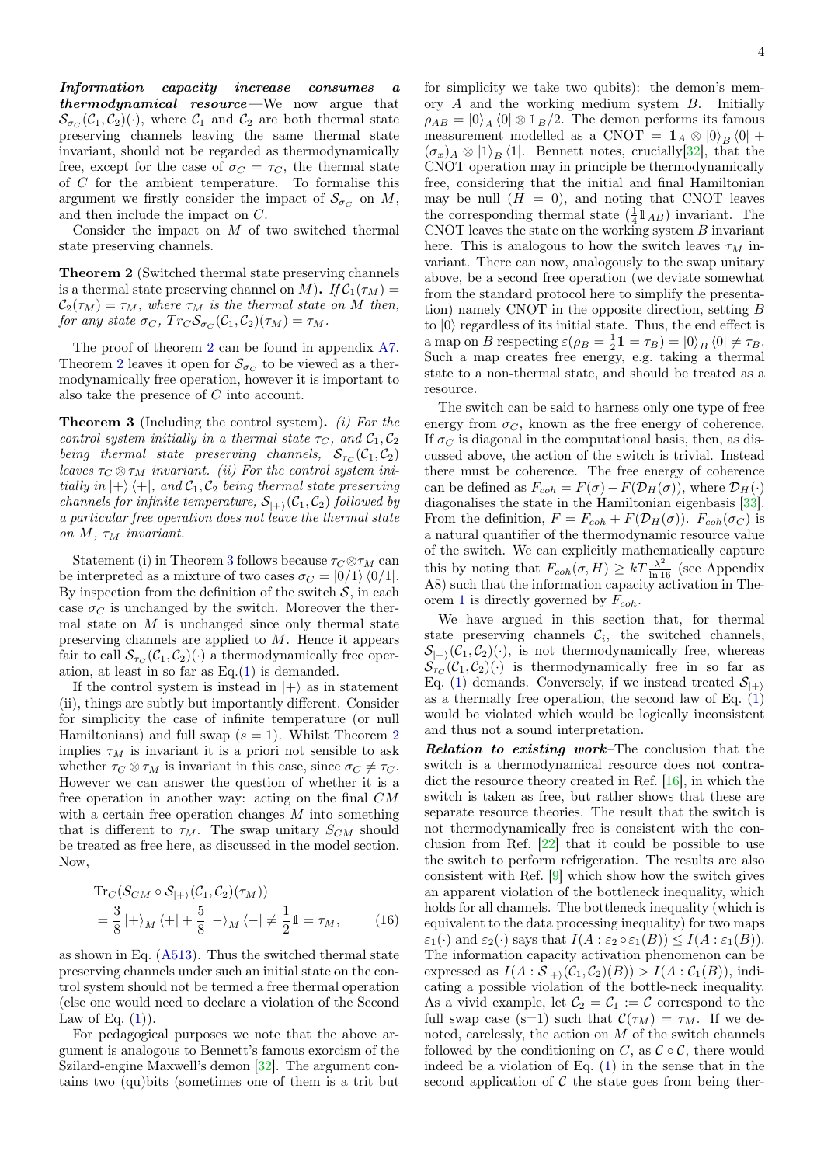$Information\quad capacity\quad increase\quad consumes$ thermodynamical resource—We now argue that  $\mathcal{S}_{\sigma_C}(\mathcal{C}_1, \mathcal{C}_2)(\cdot)$ , where  $\mathcal{C}_1$  and  $\mathcal{C}_2$  are both thermal state preserving channels leaving the same thermal state invariant, should not be regarded as thermodynamically free, except for the case of  $\sigma_C = \tau_C$ , the thermal state of C for the ambient temperature. To formalise this argument we firstly consider the impact of  $\mathcal{S}_{\sigma_C}$  on M, and then include the impact on C.

Consider the impact on  $M$  of two switched thermal state preserving channels.

<span id="page-3-0"></span>Theorem 2 (Switched thermal state preserving channels is a thermal state preserving channel on M). If  $C_1(\tau_M)$  =  $C_2(\tau_M) = \tau_M$ , where  $\tau_M$  is the thermal state on M then, for any state  $\sigma_C$ ,  $Tr_C S_{\sigma_C}(\mathcal{C}_1, \mathcal{C}_2)(\tau_M) = \tau_M$ .

The proof of theorem [2](#page-3-0) can be found in appendix [A7.](#page-10-2) Theorem [2](#page-3-0) leaves it open for  $\mathcal{S}_{\sigma_C}$  to be viewed as a thermodynamically free operation, however it is important to also take the presence of C into account.

<span id="page-3-1"></span>Theorem 3 (Including the control system). (i) For the control system initially in a thermal state  $\tau_C$ , and  $\mathcal{C}_1, \mathcal{C}_2$ being thermal state preserving channels,  $S_{\tau_C}(\mathcal{C}_1, \mathcal{C}_2)$ leaves  $\tau_C \otimes \tau_M$  invariant. (ii) For the control system initially in  $|+\rangle \langle +|$ , and  $C_1, C_2$  being thermal state preserving channels for infinite temperature,  $S_{(+)}(\mathcal{C}_1, \mathcal{C}_2)$  followed by a particular free operation does not leave the thermal state on  $M$ ,  $\tau_M$  invariant.

Statement (i) in Theorem [3](#page-3-1) follows because  $\tau_C \otimes \tau_M$  can be interpreted as a mixture of two cases  $\sigma_C = |0\rangle 1\rangle \langle 0\rangle 1|$ . By inspection from the definition of the switch  $S$ , in each case  $\sigma_C$  is unchanged by the switch. Moreover the thermal state on  $M$  is unchanged since only thermal state preserving channels are applied to M. Hence it appears fair to call  $\mathcal{S}_{\tau_C}(\mathcal{C}_1, \mathcal{C}_2)(\cdot)$  a thermodynamically free operation, at least in so far as  $Eq.(1)$  $Eq.(1)$  is demanded.

If the control system is instead in  $|+\rangle$  as in statement (ii), things are subtly but importantly different. Consider for simplicity the case of infinite temperature (or null Hamiltonians) and full swap  $(s = 1)$ . Whilst Theorem [2](#page-3-0) implies  $\tau_M$  is invariant it is a priori not sensible to ask whether  $\tau_C \otimes \tau_M$  is invariant in this case, since  $\sigma_C \neq \tau_C$ . However we can answer the question of whether it is a free operation in another way: acting on the final CM with a certain free operation changes M into something that is different to  $\tau_M$ . The swap unitary  $S_{CM}$  should be treated as free here, as discussed in the model section. Now,

$$
\begin{split} &\text{Tr}_{C}(S_{CM} \circ S_{|+)}(\mathcal{C}_{1}, \mathcal{C}_{2})(\tau_{M})) \\ &= \frac{3}{8}|+\rangle_{M} \langle +|+\frac{5}{8}|-\rangle_{M} \langle -| \neq \frac{1}{2} \mathbb{1} = \tau_{M}, \end{split} \tag{16}
$$

as shown in Eq. [\(A513\)](#page-8-0). Thus the switched thermal state preserving channels under such an initial state on the control system should not be termed a free thermal operation (else one would need to declare a violation of the Second Law of Eq.  $(1)$ ).

For pedagogical purposes we note that the above argument is analogous to Bennett's famous exorcism of the Szilard-engine Maxwell's demon [\[32\]](#page-5-1). The argument contains two (qu)bits (sometimes one of them is a trit but

for simplicity we take two qubits): the demon's memory  $A$  and the working medium system  $B$ . Initially  $\rho_{AB} = |0\rangle_A \langle 0| \otimes 1_B/2$ . The demon performs its famous measurement modelled as a CNOT =  $1_A \otimes |0\rangle_B \langle 0| +$  $(\sigma_x)_A \otimes |1\rangle_B \langle 1|$ . Bennett notes, crucially[\[32\]](#page-5-1), that the CNOT operation may in principle be thermodynamically free, considering that the initial and final Hamiltonian may be null  $(H = 0)$ , and noting that CNOT leaves the corresponding thermal state  $(\frac{1}{4} \mathbb{I}_{AB})$  invariant. The CNOT leaves the state on the working system  $B$  invariant here. This is analogous to how the switch leaves  $\tau_M$  invariant. There can now, analogously to the swap unitary above, be a second free operation (we deviate somewhat from the standard protocol here to simplify the presentation) namely CNOT in the opposite direction, setting B to  $|0\rangle$  regardless of its initial state. Thus, the end effect is a map on B respecting  $\varepsilon(\rho_B = \frac{1}{2}\mathbb{1} = \tau_B) = |0\rangle_B \langle 0| \neq \tau_B$ . Such a map creates free energy, e.g. taking a thermal state to a non-thermal state, and should be treated as a resource.

The switch can be said to harness only one type of free energy from  $\sigma_C$ , known as the free energy of coherence. If  $\sigma_C$  is diagonal in the computational basis, then, as discussed above, the action of the switch is trivial. Instead there must be coherence. The free energy of coherence can be defined as  $F_{coh} = F(\sigma) - F(\mathcal{D}_H(\sigma))$ , where  $\mathcal{D}_H(\cdot)$ diagonalises the state in the Hamiltonian eigenbasis [\[33\]](#page-5-2). From the definition,  $F = F_{coh} + F(\mathcal{D}_H(\sigma))$ .  $F_{coh}(\sigma_C)$  is a natural quantifier of the thermodynamic resource value of the switch. We can explicitly mathematically capture this by noting that  $F_{coh}(\sigma, H) \geq kT \frac{\lambda^2}{\ln 16}$  (see Appendix A8) such that the information capacity activation in The-orem [1](#page-2-1) is directly governed by  $F_{coh}$ .

We have argued in this section that, for thermal state preserving channels  $\mathcal{C}_i$ , the switched channels,  $\mathcal{S}_{\vert+\rangle}(\mathcal{C}_1,\mathcal{C}_2)(\cdot)$ , is not thermodynamically free, whereas  $\mathcal{S}_{\tau_C}(\mathcal{C}_1, \mathcal{C}_2)(\cdot)$  is thermodynamically free in so far as Eq. [\(1\)](#page-1-0) demands. Conversely, if we instead treated  $S_{(+)}$ as a thermally free operation, the second law of Eq.  $(1)$ would be violated which would be logically inconsistent and thus not a sound interpretation.

Relation to existing work–The conclusion that the switch is a thermodynamical resource does not contradict the resource theory created in Ref. [\[16\]](#page-4-8), in which the switch is taken as free, but rather shows that these are separate resource theories. The result that the switch is not thermodynamically free is consistent with the conclusion from Ref. [\[22\]](#page-4-14) that it could be possible to use the switch to perform refrigeration. The results are also consistent with Ref. [\[9\]](#page-4-12) which show how the switch gives an apparent violation of the bottleneck inequality, which holds for all channels. The bottleneck inequality (which is equivalent to the data processing inequality) for two maps  $\varepsilon_1(\cdot)$  and  $\varepsilon_2(\cdot)$  says that  $I(A : \varepsilon_2 \circ \varepsilon_1(B)) \leq I(A : \varepsilon_1(B)).$ The information capacity activation phenomenon can be expressed as  $I(A : \mathcal{S}_{\vert +} \setminus (\mathcal{C}_1, \mathcal{C}_2)(B)) > I(A : \mathcal{C}_1(B)),$  indicating a possible violation of the bottle-neck inequality. As a vivid example, let  $C_2 = C_1 := C$  correspond to the full swap case (s=1) such that  $\mathcal{C}(\tau_M) = \tau_M$ . If we denoted, carelessly, the action on  $M$  of the switch channels followed by the conditioning on  $C$ , as  $C \circ C$ , there would indeed be a violation of Eq. [\(1\)](#page-1-0) in the sense that in the second application of  $\mathcal C$  the state goes from being ther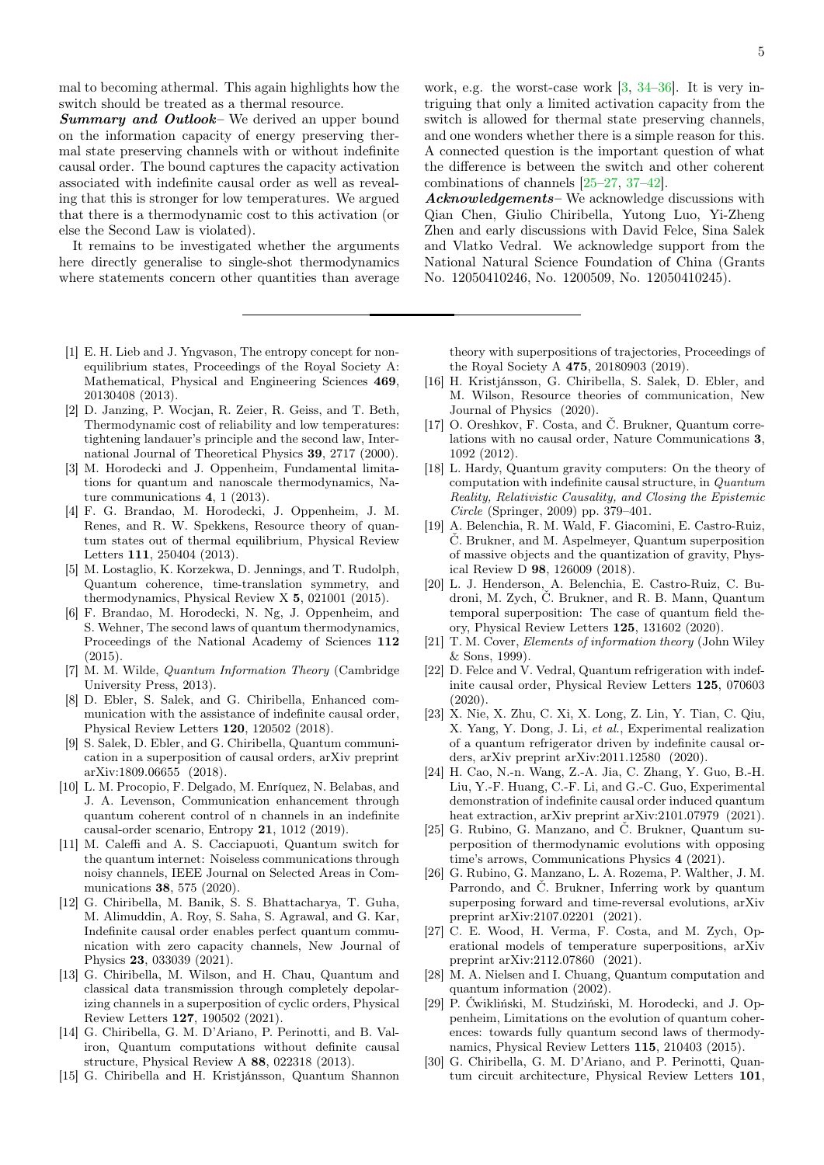mal to becoming athermal. This again highlights how the switch should be treated as a thermal resource.

**Summary and Outlook**– We derived an upper bound on the information capacity of energy preserving thermal state preserving channels with or without indefinite causal order. The bound captures the capacity activation associated with indefinite causal order as well as revealing that this is stronger for low temperatures. We argued that there is a thermodynamic cost to this activation (or else the Second Law is violated).

It remains to be investigated whether the arguments here directly generalise to single-shot thermodynamics where statements concern other quantities than average

- <span id="page-4-0"></span>[1] E. H. Lieb and J. Yngvason, The entropy concept for nonequilibrium states, Proceedings of the Royal Society A: Mathematical, Physical and Engineering Sciences 469, 20130408 (2013).
- <span id="page-4-1"></span>[2] D. Janzing, P. Wocjan, R. Zeier, R. Geiss, and T. Beth, Thermodynamic cost of reliability and low temperatures: tightening landauer's principle and the second law, International Journal of Theoretical Physics 39, 2717 (2000).
- <span id="page-4-21"></span>[3] M. Horodecki and J. Oppenheim, Fundamental limitations for quantum and nanoscale thermodynamics, Nature communications 4, 1 (2013).
- [4] F. G. Brandao, M. Horodecki, J. Oppenheim, J. M. Renes, and R. W. Spekkens, Resource theory of quantum states out of thermal equilibrium, Physical Review Letters 111, 250404 (2013).
- [5] M. Lostaglio, K. Korzekwa, D. Jennings, and T. Rudolph, Quantum coherence, time-translation symmetry, and thermodynamics, Physical Review X 5, 021001 (2015).
- <span id="page-4-2"></span>[6] F. Brandao, M. Horodecki, N. Ng, J. Oppenheim, and S. Wehner, The second laws of quantum thermodynamics, Proceedings of the National Academy of Sciences 112 (2015).
- <span id="page-4-3"></span>[7] M. M. Wilde, Quantum Information Theory (Cambridge University Press, 2013).
- <span id="page-4-4"></span>[8] D. Ebler, S. Salek, and G. Chiribella, Enhanced communication with the assistance of indefinite causal order, Physical Review Letters 120, 120502 (2018).
- <span id="page-4-12"></span>[9] S. Salek, D. Ebler, and G. Chiribella, Quantum communication in a superposition of causal orders, arXiv preprint arXiv:1809.06655 (2018).
- [10] L. M. Procopio, F. Delgado, M. Enríquez, N. Belabas, and J. A. Levenson, Communication enhancement through quantum coherent control of n channels in an indefinite causal-order scenario, Entropy 21, 1012 (2019).
- [11] M. Caleffi and A. S. Cacciapuoti, Quantum switch for the quantum internet: Noiseless communications through noisy channels, IEEE Journal on Selected Areas in Communications 38, 575 (2020).
- [12] G. Chiribella, M. Banik, S. S. Bhattacharya, T. Guha, M. Alimuddin, A. Roy, S. Saha, S. Agrawal, and G. Kar, Indefinite causal order enables perfect quantum communication with zero capacity channels, New Journal of Physics 23, 033039 (2021).
- <span id="page-4-5"></span>[13] G. Chiribella, M. Wilson, and H. Chau, Quantum and classical data transmission through completely depolarizing channels in a superposition of cyclic orders, Physical Review Letters 127, 190502 (2021).
- <span id="page-4-6"></span>[14] G. Chiribella, G. M. D'Ariano, P. Perinotti, and B. Valiron, Quantum computations without definite causal structure, Physical Review A 88, 022318 (2013).
- <span id="page-4-7"></span>[15] G. Chiribella and H. Kristjánsson, Quantum Shannon

work, e.g. the worst-case work [\[3,](#page-4-21) [34–](#page-5-3)[36\]](#page-5-4). It is very intriguing that only a limited activation capacity from the switch is allowed for thermal state preserving channels, and one wonders whether there is a simple reason for this. A connected question is the important question of what the difference is between the switch and other coherent combinations of channels [\[25](#page-4-16)[–27,](#page-4-17) [37](#page-5-5)[–42\]](#page-5-6).

Acknowledgements– We acknowledge discussions with Qian Chen, Giulio Chiribella, Yutong Luo, Yi-Zheng Zhen and early discussions with David Felce, Sina Salek and Vlatko Vedral. We acknowledge support from the National Natural Science Foundation of China (Grants No. 12050410246, No. 1200509, No. 12050410245).

theory with superpositions of trajectories, Proceedings of the Royal Society A 475, 20180903 (2019).

- <span id="page-4-8"></span>[16] H. Kristjánsson, G. Chiribella, S. Salek, D. Ebler, and M. Wilson, Resource theories of communication, New Journal of Physics (2020).
- <span id="page-4-9"></span>[17] O. Oreshkov, F. Costa, and Č. Brukner, Quantum correlations with no causal order, Nature Communications 3, 1092 (2012).
- <span id="page-4-10"></span>[18] L. Hardy, Quantum gravity computers: On the theory of computation with indefinite causal structure, in Quantum Reality, Relativistic Causality, and Closing the Epistemic Circle (Springer, 2009) pp. 379–401.
- [19] A. Belenchia, R. M. Wald, F. Giacomini, E. Castro-Ruiz, Č. Brukner, and M. Aspelmeyer, Quantum superposition of massive objects and the quantization of gravity, Physical Review D 98, 126009 (2018).
- <span id="page-4-11"></span>[20] L. J. Henderson, A. Belenchia, E. Castro-Ruiz, C. Budroni, M. Zych, Č. Brukner, and R. B. Mann, Quantum temporal superposition: The case of quantum field theory, Physical Review Letters 125, 131602 (2020).
- <span id="page-4-13"></span>[21] T. M. Cover, Elements of information theory (John Wiley & Sons, 1999).
- <span id="page-4-14"></span>[22] D. Felce and V. Vedral, Quantum refrigeration with indefinite causal order, Physical Review Letters 125, 070603  $(2020)$ .
- [23] X. Nie, X. Zhu, C. Xi, X. Long, Z. Lin, Y. Tian, C. Qiu, X. Yang, Y. Dong, J. Li, et al., Experimental realization of a quantum refrigerator driven by indefinite causal orders, arXiv preprint arXiv:2011.12580 (2020).
- <span id="page-4-15"></span>[24] H. Cao, N.-n. Wang, Z.-A. Jia, C. Zhang, Y. Guo, B.-H. Liu, Y.-F. Huang, C.-F. Li, and G.-C. Guo, Experimental demonstration of indefinite causal order induced quantum heat extraction, arXiv preprint arXiv:2101.07979 (2021).
- <span id="page-4-16"></span>[25] G. Rubino, G. Manzano, and Č. Brukner, Quantum superposition of thermodynamic evolutions with opposing time's arrows, Communications Physics 4 (2021).
- [26] G. Rubino, G. Manzano, L. A. Rozema, P. Walther, J. M. Parrondo, and Č. Brukner, Inferring work by quantum superposing forward and time-reversal evolutions, arXiv preprint arXiv:2107.02201 (2021).
- <span id="page-4-17"></span>[27] C. E. Wood, H. Verma, F. Costa, and M. Zych, Operational models of temperature superpositions, arXiv preprint arXiv:2112.07860 (2021).
- <span id="page-4-18"></span>[28] M. A. Nielsen and I. Chuang, Quantum computation and quantum information (2002).
- <span id="page-4-19"></span>[29] P. Ćwikliński, M. Studziński, M. Horodecki, and J. Oppenheim, Limitations on the evolution of quantum coherences: towards fully quantum second laws of thermodynamics, Physical Review Letters 115, 210403 (2015).
- <span id="page-4-20"></span>[30] G. Chiribella, G. M. D'Ariano, and P. Perinotti, Quantum circuit architecture, Physical Review Letters 101,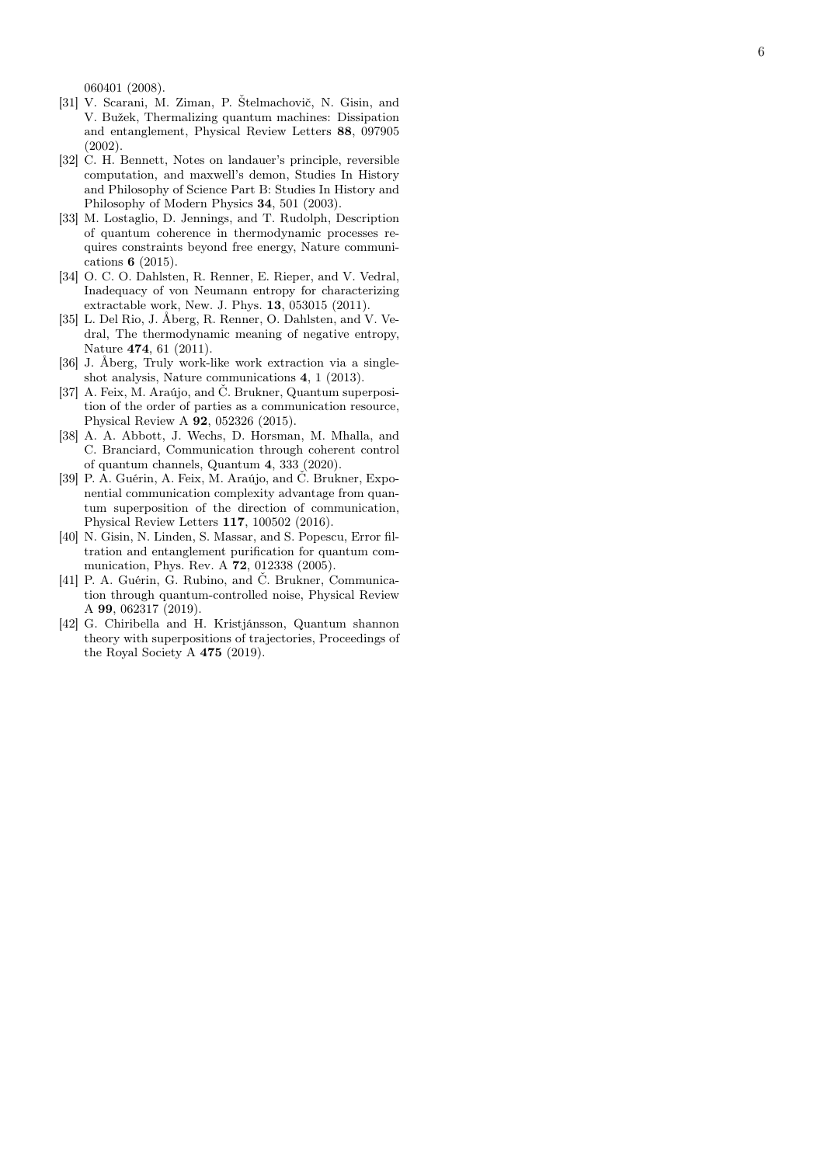060401 (2008).

- <span id="page-5-0"></span>[31] V. Scarani, M. Ziman, P. Štelmachovič, N. Gisin, and V. Bužek, Thermalizing quantum machines: Dissipation and entanglement, Physical Review Letters 88, 097905 (2002).
- <span id="page-5-1"></span>[32] C. H. Bennett, Notes on landauer's principle, reversible computation, and maxwell's demon, Studies In History and Philosophy of Science Part B: Studies In History and Philosophy of Modern Physics 34, 501 (2003).
- <span id="page-5-2"></span>[33] M. Lostaglio, D. Jennings, and T. Rudolph, Description of quantum coherence in thermodynamic processes requires constraints beyond free energy, Nature communications 6 (2015).
- <span id="page-5-3"></span>[34] O. C. O. Dahlsten, R. Renner, E. Rieper, and V. Vedral, Inadequacy of von Neumann entropy for characterizing extractable work, New. J. Phys. 13, 053015 (2011).
- [35] L. Del Rio, J. Åberg, R. Renner, O. Dahlsten, and V. Vedral, The thermodynamic meaning of negative entropy, Nature 474, 61 (2011).
- <span id="page-5-4"></span>[36] J. Åberg, Truly work-like work extraction via a singleshot analysis, Nature communications 4, 1 (2013).
- <span id="page-5-5"></span>[37] A. Feix, M. Araújo, and Č. Brukner, Quantum superposition of the order of parties as a communication resource, Physical Review A 92, 052326 (2015).
- [38] A. A. Abbott, J. Wechs, D. Horsman, M. Mhalla, and C. Branciard, Communication through coherent control of quantum channels, Quantum 4, 333 (2020).
- [39] P. A. Guérin, A. Feix, M. Araújo, and Č. Brukner, Exponential communication complexity advantage from quantum superposition of the direction of communication, Physical Review Letters 117, 100502 (2016).
- [40] N. Gisin, N. Linden, S. Massar, and S. Popescu, Error filtration and entanglement purification for quantum communication, Phys. Rev. A 72, 012338 (2005).
- [41] P. A. Guérin, G. Rubino, and Č. Brukner, Communication through quantum-controlled noise, Physical Review A 99, 062317 (2019).
- <span id="page-5-6"></span>[42] G. Chiribella and H. Kristjánsson, Quantum shannon theory with superpositions of trajectories, Proceedings of the Royal Society A 475 (2019).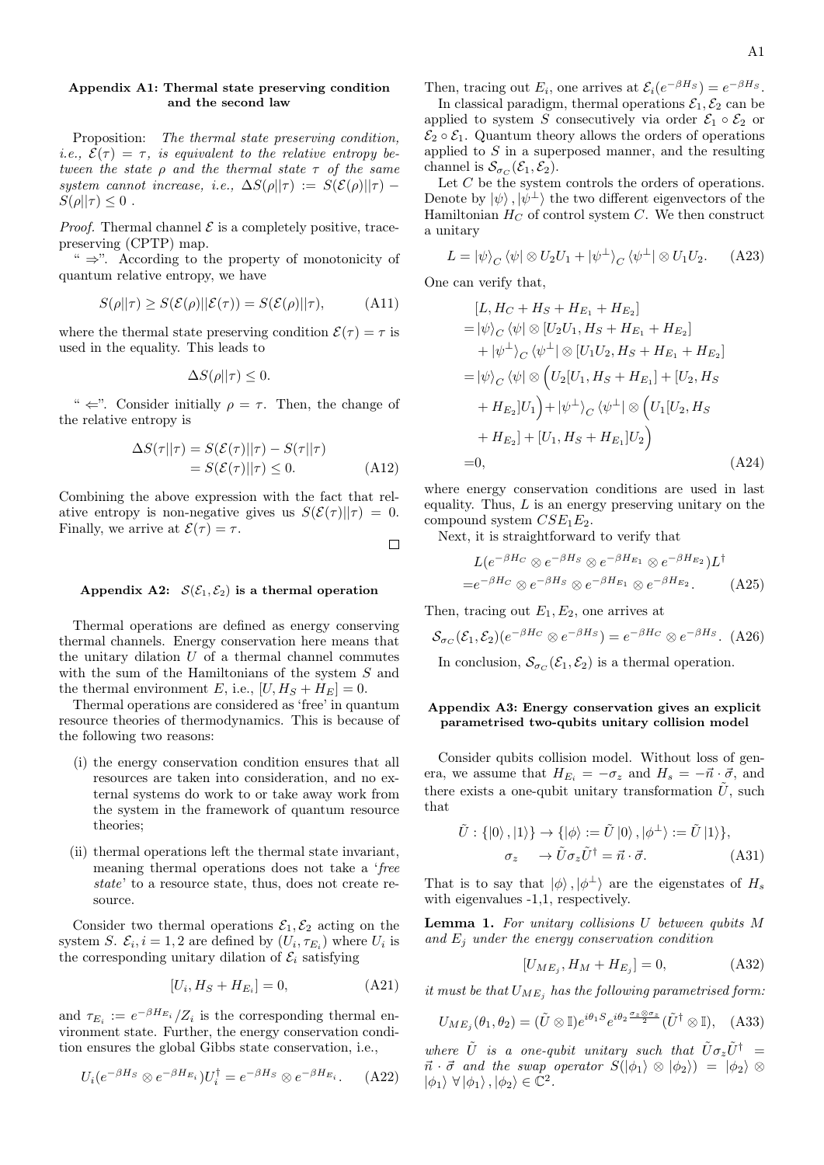### <span id="page-6-0"></span>Appendix A1: Thermal state preserving condition and the second law

Proposition: The thermal state preserving condition, i.e.,  $\mathcal{E}(\tau) = \tau$ , is equivalent to the relative entropy between the state  $\rho$  and the thermal state  $\tau$  of the same system cannot increase, i.e.,  $\Delta S(\rho||\tau) := S(\mathcal{E}(\rho)||\tau)$  –  $S(\rho||\tau) \leq 0$ .

*Proof.* Thermal channel  $\mathcal E$  is a completely positive, tracepreserving (CPTP) map.

"  $\Rightarrow$ ". According to the property of monotonicity of quantum relative entropy, we have

$$
S(\rho||\tau) \ge S(\mathcal{E}(\rho)||\mathcal{E}(\tau)) = S(\mathcal{E}(\rho)||\tau), \tag{A11}
$$

where the thermal state preserving condition  $\mathcal{E}(\tau) = \tau$  is used in the equality. This leads to

$$
\Delta S(\rho||\tau) \leq 0.
$$

"  $\Leftarrow$ ". Consider initially  $\rho = \tau$ . Then, the change of the relative entropy is

$$
\Delta S(\tau||\tau) = S(\mathcal{E}(\tau)||\tau) - S(\tau||\tau)
$$

$$
= S(\mathcal{E}(\tau)||\tau) \le 0. \tag{A12}
$$

Combining the above expression with the fact that relative entropy is non-negative gives us  $S(\mathcal{E}(\tau)||\tau) = 0$ . Finally, we arrive at  $\mathcal{E}(\tau) = \tau$ .

 $\Box$ 

### <span id="page-6-2"></span>Appendix A2:  $S(\mathcal{E}_1, \mathcal{E}_2)$  is a thermal operation

Thermal operations are defined as energy conserving thermal channels. Energy conservation here means that the unitary dilation  $U$  of a thermal channel commutes with the sum of the Hamiltonians of the system  $S$  and the thermal environment E, i.e.,  $[U, H<sub>S</sub> + H<sub>E</sub>] = 0$ .

Thermal operations are considered as 'free' in quantum resource theories of thermodynamics. This is because of the following two reasons:

- (i) the energy conservation condition ensures that all resources are taken into consideration, and no external systems do work to or take away work from the system in the framework of quantum resource theories;
- (ii) thermal operations left the thermal state invariant, meaning thermal operations does not take a 'free state' to a resource state, thus, does not create resource.

Consider two thermal operations  $\mathcal{E}_1, \mathcal{E}_2$  acting on the system S.  $\mathcal{E}_i$ ,  $i = 1, 2$  are defined by  $(U_i, \tau_{E_i})$  where  $U_i$  is the corresponding unitary dilation of  $\mathcal{E}_i$  satisfying

$$
[U_i, H_S + H_{E_i}] = 0,\t(A21)
$$

and  $\tau_{E_i} := e^{-\beta H_{E_i}} / Z_i$  is the corresponding thermal environment state. Further, the energy conservation condition ensures the global Gibbs state conservation, i.e.,

$$
U_i(e^{-\beta H_S} \otimes e^{-\beta H_{E_i}}) U_i^{\dagger} = e^{-\beta H_S} \otimes e^{-\beta H_{E_i}}.
$$
 (A22)

Then, tracing out  $E_i$ , one arrives at  $\mathcal{E}_i(e^{-\beta H_S}) = e^{-\beta H_S}$ .

In classical paradigm, thermal operations  $\mathcal{E}_1, \mathcal{E}_2$  can be applied to system S consecutively via order  $\mathcal{E}_1 \circ \mathcal{E}_2$  or  $\mathcal{E}_2 \circ \mathcal{E}_1$ . Quantum theory allows the orders of operations applied to S in a superposed manner, and the resulting channel is  $\mathcal{S}_{\sigma_C}(\mathcal{E}_1, \mathcal{E}_2)$ .

Let  $C$  be the system controls the orders of operations. Denote by  $|\psi\rangle$ ,  $|\psi^{\perp}\rangle$  the two different eigenvectors of the Hamiltonian  $H_C$  of control system C. We then construct a unitary

$$
L = |\psi\rangle_C \langle \psi| \otimes U_2 U_1 + |\psi^\perp\rangle_C \langle \psi^\perp| \otimes U_1 U_2. \quad (A23)
$$

One can verify that,

$$
[L, H_C + H_S + H_{E_1} + H_{E_2}]
$$
  
=  $|\psi\rangle_C \langle \psi| \otimes [U_2 U_1, H_S + H_{E_1} + H_{E_2}]$   
+  $|\psi^{\perp}\rangle_C \langle \psi^{\perp}| \otimes [U_1 U_2, H_S + H_{E_1} + H_{E_2}]$   
=  $|\psi\rangle_C \langle \psi| \otimes (U_2 [U_1, H_S + H_{E_1}] + [U_2, H_S + H_{E_2}]U_1) + |\psi^{\perp}\rangle_C \langle \psi^{\perp}| \otimes (U_1 [U_2, H_S + H_{E_2}] + [U_1, H_S + H_{E_1}]U_2)$   
=0, (A24)

where energy conservation conditions are used in last equality. Thus,  $L$  is an energy preserving unitary on the compound system  $CSE<sub>1</sub>E<sub>2</sub>$ .

Next, it is straightforward to verify that

$$
L(e^{-\beta H_C} \otimes e^{-\beta H_S} \otimes e^{-\beta H_{E_1}} \otimes e^{-\beta H_{E_2}}) L^{\dagger}
$$
  
=  $e^{-\beta H_C} \otimes e^{-\beta H_S} \otimes e^{-\beta H_{E_1}} \otimes e^{-\beta H_{E_2}}.$  (A25)

Then, tracing out  $E_1, E_2$ , one arrives at

$$
\mathcal{S}_{\sigma_C}(\mathcal{E}_1, \mathcal{E}_2)(e^{-\beta H_C} \otimes e^{-\beta H_S}) = e^{-\beta H_C} \otimes e^{-\beta H_S}.
$$
 (A26)

In conclusion,  $\mathcal{S}_{\sigma_C}(\mathcal{E}_1, \mathcal{E}_2)$  is a thermal operation.

# <span id="page-6-1"></span>Appendix A3: Energy conservation gives an explicit parametrised two-qubits unitary collision model

Consider qubits collision model. Without loss of genera, we assume that  $H_{E_i} = -\sigma_z$  and  $H_s = -\vec{n} \cdot \vec{\sigma}$ , and there exists a one-qubit unitary transformation  $U$ , such that

$$
\tilde{U}: \{ |0\rangle, |1\rangle \} \to \{ |\phi\rangle := \tilde{U} |0\rangle, |\phi^{\perp}\rangle := \tilde{U} |1\rangle \},
$$
\n
$$
\sigma_z \to \tilde{U} \sigma_z \tilde{U}^\dagger = \vec{n} \cdot \vec{\sigma}.
$$
\n(A31)

That is to say that  $|\phi\rangle, |\phi^{\perp}\rangle$  are the eigenstates of  $H_s$ with eigenvalues -1,1, respectively.

<span id="page-6-3"></span>Lemma 1. For unitary collisions U between qubits M and  $E_i$  under the energy conservation condition

$$
[U_{ME_j}, H_M + H_{E_j}] = 0,
$$
 (A32)

it must be that  $U_{ME_i}$  has the following parametrised form:

$$
U_{ME_j}(\theta_1, \theta_2) = (\tilde{U} \otimes \mathbb{I})e^{i\theta_1 S}e^{i\theta_2 \frac{\sigma_z \otimes \sigma_z}{2}} (\tilde{U}^\dagger \otimes \mathbb{I}), \quad (A33)
$$

where  $\tilde{U}$  is a one-qubit unitary such that  $\tilde{U}\sigma_z\tilde{U}^{\dagger}$  =  $\vec{n} \cdot \vec{\sigma}$  and the swap operator  $S(\vert \phi_1 \rangle \otimes \vert \phi_2 \rangle) = \vert \phi_2 \rangle \otimes$  $|\phi_1\rangle \ \forall \, |\phi_1\rangle , |\phi_2\rangle \in \mathbb{C}^2.$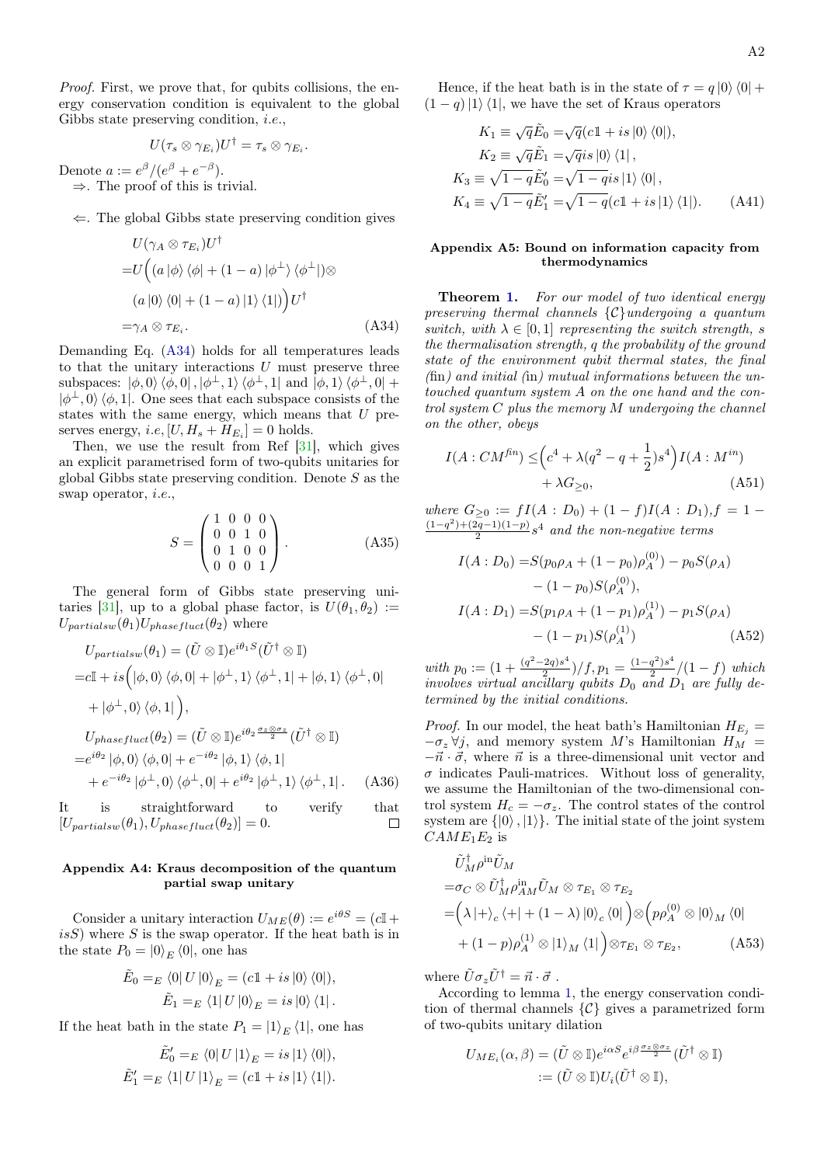Proof. First, we prove that, for qubits collisions, the energy conservation condition is equivalent to the global Gibbs state preserving condition, *i.e.*,

$$
U(\tau_s\otimes \gamma_{E_i})U^{\dagger}=\tau_s\otimes \gamma_{E_i}.
$$

Denote  $a := e^{\beta}/(e^{\beta} + e^{-\beta}).$ 

 $\Rightarrow$ . The proof of this is trivial.

 $\Leftarrow$ . The global Gibbs state preserving condition gives

$$
U(\gamma_A \otimes \tau_{E_i})U^{\dagger}
$$
  
= $U((a|\phi\rangle\langle\phi| + (1-a)|\phi^{\perp}\rangle\langle\phi^{\perp}|)\otimes$   
 $(a|0\rangle\langle0| + (1-a)|1\rangle\langle1|)U^{\dagger}$   
= $\gamma_A \otimes \tau_{E_i}$ . (A34)

Demanding Eq. [\(A34\)](#page-7-2) holds for all temperatures leads to that the unitary interactions  $U$  must preserve three subspaces:  $|\phi,0\rangle \langle \phi,0|, |\phi^{\perp},1\rangle \langle \phi^{\perp},1|$  and  $|\phi,1\rangle \langle \phi^{\perp},0| +$  $|\phi^{\perp},0\rangle \langle \phi,1|$ . One sees that each subspace consists of the states with the same energy, which means that  $U$  preserves energy, *i.e*,  $[U, H_s + H_{E_i}] = 0$  holds.

Then, we use the result from Ref [\[31\]](#page-5-0), which gives an explicit parametrised form of two-qubits unitaries for global Gibbs state preserving condition. Denote  $S$  as the swap operator, i.e.,

$$
S = \begin{pmatrix} 1 & 0 & 0 & 0 \\ 0 & 0 & 1 & 0 \\ 0 & 1 & 0 & 0 \\ 0 & 0 & 0 & 1 \end{pmatrix} .
$$
 (A35)

The general form of Gibbs state preserving uni-taries [\[31\]](#page-5-0), up to a global phase factor, is  $U(\theta_1, \theta_2) :=$  $U_{partialsw}(\theta_1)U_{phase fluct}(\theta_2)$  where

$$
U_{partialsw}(\theta_1) = (\tilde{U} \otimes \mathbb{I})e^{i\theta_1 S}(\tilde{U}^\dagger \otimes \mathbb{I})
$$
  
\n
$$
= c\mathbb{I} + is(|\phi, 0\rangle \langle \phi, 0| + |\phi^\perp, 1\rangle \langle \phi^\perp, 1| + |\phi, 1\rangle \langle \phi^\perp, 0|
$$
  
\n
$$
+ |\phi^\perp, 0\rangle \langle \phi, 1|),
$$
  
\n
$$
U_{phasefluct}(\theta_2) = (\tilde{U} \otimes \mathbb{I})e^{i\theta_2 \frac{\sigma_z \otimes \sigma_z}{2}}(\tilde{U}^\dagger \otimes \mathbb{I})
$$
  
\n
$$
= e^{i\theta_2} |\phi, 0\rangle \langle \phi, 0| + e^{-i\theta_2} |\phi, 1\rangle \langle \phi, 1|
$$
  
\n
$$
+ e^{-i\theta_2} |\phi^\perp, 0\rangle \langle \phi^\perp, 0| + e^{i\theta_2} |\phi^\perp, 1\rangle \langle \phi^\perp, 1|.
$$
 (A36)

It is straightforward to verify that  $[U_{partialsw}(\theta_1), U_{phasefluct}(\theta_2)] = 0.$  $\Box$ 

# <span id="page-7-0"></span>Appendix A4: Kraus decomposition of the quantum partial swap unitary

Consider a unitary interaction  $U_{ME}(\theta) := e^{i\theta S} = (c\mathbb{I} +$  $isS$ ) where S is the swap operator. If the heat bath is in the state  $P_0 = \ket{0}_E \bra{0}$ , one has

$$
\tilde{E}_0 =_E \langle 0 | U | 0 \rangle_E = (c1 + is | 0 \rangle \langle 0 |),
$$
  

$$
\tilde{E}_1 =_E \langle 1 | U | 0 \rangle_E = is | 0 \rangle \langle 1 |.
$$

If the heat bath in the state  $P_1 = |1\rangle_E \langle 1|$ , one has

$$
\tilde{E}'_0 =_E \langle 0| U | 1 \rangle_E = i s | 1 \rangle \langle 0|),
$$
  

$$
\tilde{E}'_1 =_E \langle 1 | U | 1 \rangle_E = (c1 + i s | 1 \rangle \langle 1|).
$$

Hence, if the heat bath is in the state of  $\tau = q \, |0\rangle \, \langle 0| +$  $(1 - q)$ |1}  $\langle 1|$ , we have the set of Kraus operators

<span id="page-7-3"></span>
$$
K_1 \equiv \sqrt{q}\tilde{E}_0 = \sqrt{q}(c\mathbb{1} + is \mid 0\rangle\langle 0 \mid),
$$
  
\n
$$
K_2 \equiv \sqrt{q}\tilde{E}_1 = \sqrt{q}is \mid 0\rangle\langle 1 \mid,
$$
  
\n
$$
K_3 \equiv \sqrt{1 - q}\tilde{E}'_0 = \sqrt{1 - q}is \mid 1\rangle\langle 0 \mid,
$$
  
\n
$$
K_4 \equiv \sqrt{1 - q}\tilde{E}'_1 = \sqrt{1 - q}(c\mathbb{1} + is \mid 1\rangle\langle 1 \mid).
$$
 (A41)

### <span id="page-7-1"></span>Appendix A5: Bound on information capacity from thermodynamics

<span id="page-7-2"></span>**Theorem [1.](#page-2-1)** For our model of two identical energy preserving thermal channels  ${C}$ undergoing a quantum switch, with  $\lambda \in [0, 1]$  representing the switch strength, s the thermalisation strength, q the probability of the ground state of the environment qubit thermal states, the final (fin) and initial (in) mutual informations between the untouched quantum system A on the one hand and the control system C plus the memory M undergoing the channel on the other, obeys

$$
I(A:CM^{fin}) \leq \left(c^4 + \lambda(q^2 - q + \frac{1}{2})s^4\right)I(A:M^{in}) + \lambda G_{\geq 0},\tag{A51}
$$

where  $G_{\geq 0} := fI(A : D_0) + (1 - f)I(A : D_1), f = 1 (1-q^2)+(2q-1)(1-p)$  $\frac{2q-1)(1-p)}{2}s^4$  and the non-negative terms

$$
I(A: D_0) = S(p_0 \rho_A + (1 - p_0)\rho_A^{(0)}) - p_0 S(\rho_A)
$$
  
-(1 - p\_0)S(\rho\_A^{(0)}),  

$$
I(A: D_1) = S(p_1 \rho_A + (1 - p_1)\rho_A^{(1)}) - p_1 S(\rho_A)
$$
  
-(1 - p\_1)S(\rho\_A^{(1)}) (A52)

with  $p_0 := (1 + \frac{(q^2-2q)s^4}{2})$  $\frac{(2q)s^4}{2}\big)/f, p_1 = \frac{(1-q^2)s^4}{2}$  $\frac{q^2}{2}$  /(1 – f) which involves virtual ancillary qubits  $D_0$  and  $D_1$  are fully determined by the initial conditions.

*Proof.* In our model, the heat bath's Hamiltonian  $H_{E_i}$  =  $-\sigma_z \forall j$ , and memory system M's Hamiltonian  $H_M$  =  $-\vec{n} \cdot \vec{\sigma}$ , where  $\vec{n}$  is a three-dimensional unit vector and  $\sigma$  indicates Pauli-matrices. Without loss of generality, we assume the Hamiltonian of the two-dimensional control system  $H_c = -\sigma_z$ . The control states of the control system are  $\{|0\rangle, |1\rangle\}$ . The initial state of the joint system  $CAME_1E_2$  is

$$
\tilde{U}_{M}^{\dagger} \rho^{\text{in}} \tilde{U}_{M} \n= \sigma_{C} \otimes \tilde{U}_{M}^{\dagger} \rho_{AM}^{\text{in}} \tilde{U}_{M} \otimes \tau_{E_{1}} \otimes \tau_{E_{2}} \n= (\lambda |+\rangle_{c} \langle +| + (1-\lambda) |0\rangle_{c} \langle 0|) \otimes (p\rho_{A}^{(0)} \otimes |0\rangle_{M} \langle 0| \n+ (1-p)\rho_{A}^{(1)} \otimes |1\rangle_{M} \langle 1|) \otimes \tau_{E_{1}} \otimes \tau_{E_{2}},
$$
\n(A53)

where  $\tilde{U}\sigma_z\tilde{U}^{\dagger} = \vec{n}\cdot\vec{\sigma}$ .

According to lemma [1,](#page-6-3) the energy conservation condition of thermal channels  $\{\mathcal{C}\}\$  gives a parametrized form of two-qubits unitary dilation

$$
U_{ME_i}(\alpha, \beta) = (\tilde{U} \otimes \mathbb{I})e^{i\alpha S}e^{i\beta \frac{\sigma_z \otimes \sigma_z}{2}} (\tilde{U}^{\dagger} \otimes \mathbb{I})
$$
  
 :=  $(\tilde{U} \otimes \mathbb{I})U_i(\tilde{U}^{\dagger} \otimes \mathbb{I}),$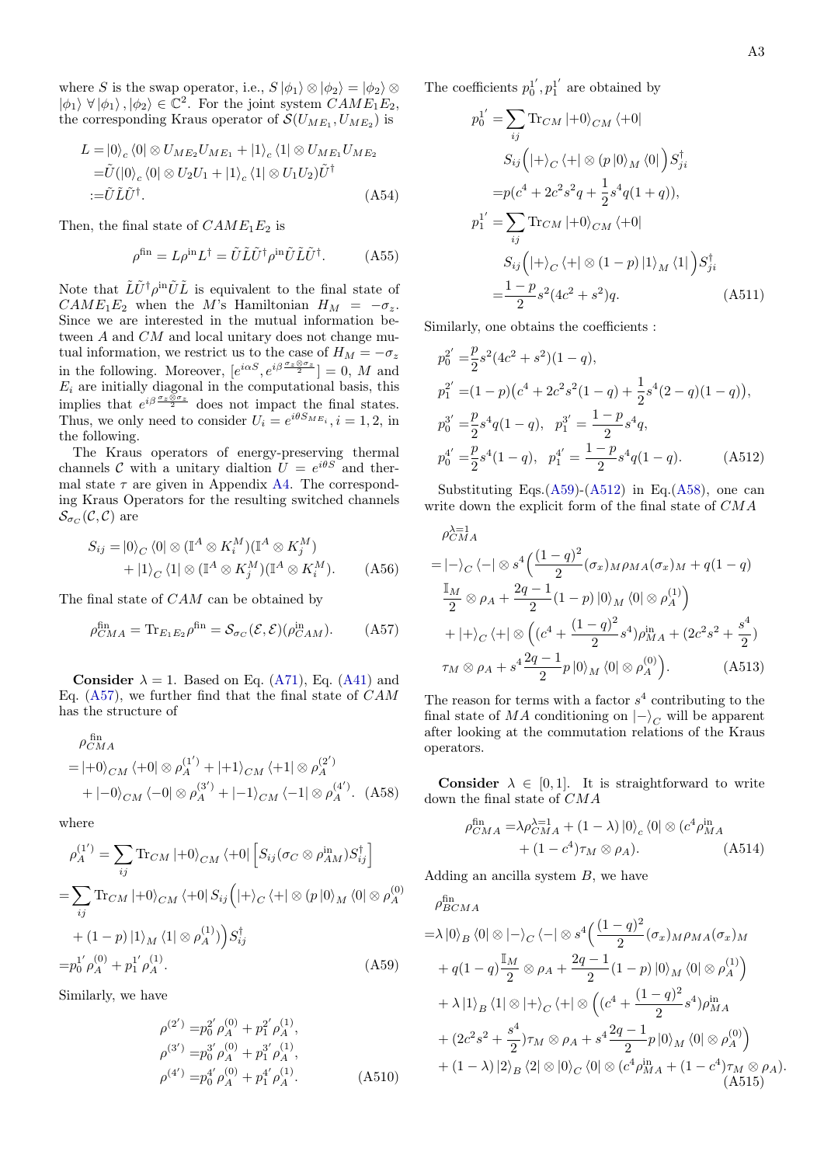where S is the swap operator, i.e.,  $S |\phi_1\rangle \otimes |\phi_2\rangle = |\phi_2\rangle \otimes$  $|\phi_1\rangle \ \forall \, |\phi_1\rangle , |\phi_2\rangle \in \mathbb{C}^2$ . For the joint system  $CAME_1E_2$ , the corresponding Kraus operator of  $\mathcal{S}(U_{ME_1}, U_{ME_2})$  is

$$
L = |0\rangle_c \langle 0| \otimes U_{ME_2} U_{ME_1} + |1\rangle_c \langle 1| \otimes U_{ME_1} U_{ME_2}
$$
  
= $\tilde{U}(|0\rangle_c \langle 0| \otimes U_2 U_1 + |1\rangle_c \langle 1| \otimes U_1 U_2) \tilde{U}^{\dagger}$   
:= $\tilde{U}\tilde{L}\tilde{U}^{\dagger}$ . (A54)

Then, the final state of  $CAME_1E_2$  is

$$
\rho^{\text{fin}} = L\rho^{\text{in}}L^{\dagger} = \tilde{U}\tilde{L}\tilde{U}^{\dagger}\rho^{\text{in}}\tilde{U}\tilde{L}\tilde{U}^{\dagger}.
$$
 (A55)

Note that  $\tilde{L}\tilde{U}^{\dagger}\rho^{\text{in}}\tilde{U}\tilde{L}$  is equivalent to the final state of  $CAME_1E_2$  when the M's Hamiltonian  $H_M = -\sigma_z$ . Since we are interested in the mutual information between A and CM and local unitary does not change mutual information, we restrict us to the case of  $H_M = -\sigma_z$ in the following. Moreover,  $[e^{i\alpha S}, e^{i\beta \frac{\sigma_z \otimes \sigma_z}{2}}] = 0$ , M and  $E_i$  are initially diagonal in the computational basis, this implies that  $e^{i\beta \frac{\sigma_z \otimes \sigma_z}{2}}$  does not impact the final states. Thus, we only need to consider  $U_i = e^{i\theta S_{ME_i}}, i = 1, 2$ , in the following.

The Kraus operators of energy-preserving thermal channels C with a unitary dialtion  $U = e^{i\theta S}$  and thermal state  $\tau$  are given in Appendix [A4.](#page-7-0) The corresponding Kraus Operators for the resulting switched channels  $\mathcal{S}_{\sigma_C}(\mathcal{C}, \mathcal{C})$  are

$$
S_{ij} = |0\rangle_C \langle 0| \otimes (\mathbb{I}^A \otimes K_i^M)(\mathbb{I}^A \otimes K_j^M) + |1\rangle_C \langle 1| \otimes (\mathbb{I}^A \otimes K_j^M)(\mathbb{I}^A \otimes K_i^M).
$$
 (A56)

The final state of CAM can be obtained by

$$
\rho_{CMA}^{\text{fin}} = \text{Tr}_{E_1 E_2} \rho^{\text{fin}} = \mathcal{S}_{\sigma_C}(\mathcal{E}, \mathcal{E}) (\rho_{CAM}^{\text{in}}). \tag{A57}
$$

**Consider**  $\lambda = 1$ . Based on Eq. [\(A71\)](#page-10-3), Eq. [\(A41\)](#page-7-3) and Eq.  $(A57)$ , we further find that the final state of  $CAM$ has the structure of

$$
\rho_{CMA}^{\text{fin}} = |+0\rangle_{CM} \langle +0| \otimes \rho_A^{(1')} + |+1\rangle_{CM} \langle +1| \otimes \rho_A^{(2')} + |-0\rangle_{CM} \langle -0| \otimes \rho_A^{(3')} + |-1\rangle_{CM} \langle -1| \otimes \rho_A^{(4')}.\tag{A58}
$$

where

$$
\rho_A^{(1')} = \sum_{ij} \text{Tr}_{CM} |+0\rangle_{CM} \langle +0| \left[ S_{ij} (\sigma_C \otimes \rho_{AM}^{in}) S_{ij}^{\dagger} \right]
$$
  
= 
$$
\sum_{ij} \text{Tr}_{CM} |+0\rangle_{CM} \langle +0| S_{ij} (|+\rangle_C \langle +| \otimes (p|0\rangle_M \langle 0| \otimes \rho_A^{(0)} \rangle + (1-p) |1\rangle_M \langle 1| \otimes \rho_A^{(1)}) S_{ij}^{\dagger}
$$
  
= 
$$
p_0^{1'} \rho_A^{(0)} + p_1^{1'} \rho_A^{(1)}.
$$
 (A59)

Similarly, we have

$$
\rho^{(2')} = p_0^{2'} \rho_A^{(0)} + p_1^{2'} \rho_A^{(1)},
$$
  
\n
$$
\rho^{(3')} = p_0^{3'} \rho_A^{(0)} + p_1^{3'} \rho_A^{(1)},
$$
  
\n
$$
\rho^{(4')} = p_0^{4'} \rho_A^{(0)} + p_1^{4'} \rho_A^{(1)}.
$$
\n(A510)

The coefficients  $p_0^{1'}$ ,  $p_1^{1'}$  are obtained by

$$
p_0^{1'} = \sum_{ij} \text{Tr}_{CM} |+0\rangle_{CM} \langle +0|
$$
  
\n
$$
S_{ij} (|+\rangle_C \langle +| \otimes (p |0\rangle_M \langle 0|) S_{ji}^{\dagger}
$$
  
\n
$$
= p(c^4 + 2c^2 s^2 q + \frac{1}{2} s^4 q(1+q)),
$$
  
\n
$$
p_1^{1'} = \sum_{ij} \text{Tr}_{CM} |+0\rangle_{CM} \langle +0|
$$
  
\n
$$
S_{ij} (|+\rangle_C \langle +| \otimes (1-p) |1\rangle_M \langle 1|) S_{ji}^{\dagger}
$$
  
\n
$$
= \frac{1-p}{2} s^2 (4c^2 + s^2) q.
$$
 (A511)

Similarly, one obtains the coefficients :

$$
p_0^{2'} = \frac{p}{2}s^2(4c^2 + s^2)(1-q),
$$
  
\n
$$
p_1^{2'} = (1-p)(c^4 + 2c^2s^2(1-q) + \frac{1}{2}s^4(2-q)(1-q)),
$$
  
\n
$$
p_0^{3'} = \frac{p}{2}s^4q(1-q), \quad p_1^{3'} = \frac{1-p}{2}s^4q,
$$
  
\n
$$
p_0^{4'} = \frac{p}{2}s^4(1-q), \quad p_1^{4'} = \frac{1-p}{2}s^4q(1-q).
$$
 (A512)

<span id="page-8-3"></span>Substituting Eqs. $(A59)-(A512)$  $(A59)-(A512)$  $(A59)-(A512)$  in Eq. $(A58)$ , one can write down the explicit form of the final state of CMA

$$
\rho_{CMA}^{\lambda=1}
$$
  
=  $|\!-\rangle_C \langle -|\otimes s^4 \Big( \frac{(1-q)^2}{2} (\sigma_x) M \rho_{MA} (\sigma_x) M + q(1-q) \Big)$   

$$
\frac{\mathbb{I}_M}{2} \otimes \rho_A + \frac{2q-1}{2} (1-p) |0\rangle_M \langle 0| \otimes \rho_A^{(1)} \Big)
$$
  
+  $|\!+\rangle_C \langle +|\otimes \Big( (c^4 + \frac{(1-q)^2}{2} s^4) \rho_{MA}^{in} + (2c^2 s^2 + \frac{s^4}{2}) \Big)$   
 $\tau_M \otimes \rho_A + s^4 \frac{2q-1}{2} p |0\rangle_M \langle 0| \otimes \rho_A^{(0)} \Big).$  (A513)

<span id="page-8-1"></span><span id="page-8-0"></span>The reason for terms with a factor  $s<sup>4</sup>$  contributing to the final state of MA conditioning on  $|-\rangle_C$  will be apparent after looking at the commutation relations of the Kraus operators.

<span id="page-8-4"></span>**Consider**  $\lambda \in [0, 1]$ . It is straightforward to write down the final state of CMA

$$
\rho_{CMA}^{\text{fin}} = \lambda \rho_{CMA}^{\lambda=1} + (1 - \lambda) |0\rangle_c \langle 0| \otimes (c^4 \rho_{MA}^{\text{in}} + (1 - c^4) \tau_M \otimes \rho_A).
$$
\n(A514)

Adding an ancilla system  $B$ , we have

<span id="page-8-5"></span><span id="page-8-2"></span>
$$
\rho_{BCMA}^{\text{fin}} = \lambda |0\rangle_B \langle 0| \otimes |-\rangle_C \langle -| \otimes s^4 \Big( \frac{(1-q)^2}{2} (\sigma_x)_M \rho_{MA} (\sigma_x)_M
$$
  
+  $q(1-q) \frac{\mathbb{I}_M}{2} \otimes \rho_A + \frac{2q-1}{2} (1-p) |0\rangle_M \langle 0| \otimes \rho_A^{(1)} \Big)$   
+  $\lambda |1\rangle_B \langle 1| \otimes |+\rangle_C \langle +| \otimes \Big( (c^4 + \frac{(1-q)^2}{2} s^4) \rho_{MA}^{\text{in}} \Big)$   
+  $(2c^2 s^2 + \frac{s^4}{2}) \tau_M \otimes \rho_A + s^4 \frac{2q-1}{2} p |0\rangle_M \langle 0| \otimes \rho_A^{(0)} \Big)$   
+  $(1-\lambda) |2\rangle_B \langle 2| \otimes |0\rangle_C \langle 0| \otimes (c^4 \rho_{MA}^{\text{in}} + (1-c^4) \tau_M \otimes \rho_A).$   
(A515)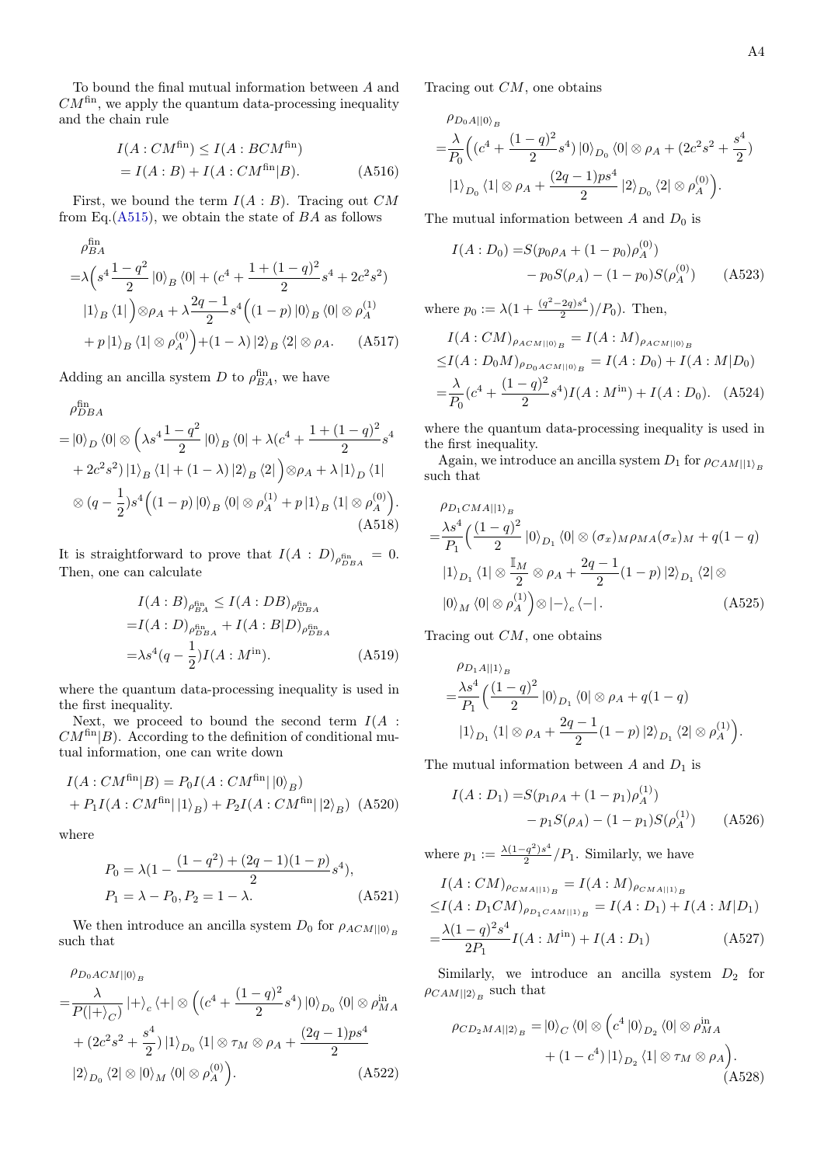To bound the final mutual information between A and  $CM<sup>fin</sup>$ , we apply the quantum data-processing inequality and the chain rule

$$
I(A:CMfin) \le I(A:BCMfin)
$$
  
=  $I(A:B) + I(A:CMfin|B).$  (A516)

First, we bound the term  $I(A : B)$ . Tracing out CM from Eq.  $(A515)$ , we obtain the state of BA as follows

$$
\rho_{BA}^{\text{fin}} = \lambda \left( s^4 \frac{1 - q^2}{2} \left| 0 \right\rangle_B \left\langle 0 \right| + \left( c^4 + \frac{1 + (1 - q)^2}{2} s^4 + 2c^2 s^2 \right) \right.
$$
\n
$$
\left| 1 \right\rangle_B \left\langle 1 \right| \right) \otimes \rho_A + \lambda \frac{2q - 1}{2} s^4 \left( (1 - p) \left| 0 \right\rangle_B \left\langle 0 \right| \otimes \rho_A^{(1)} + p \left| 1 \right\rangle_B \left\langle 1 \right| \otimes \rho_A^{(0)} \right) + (1 - \lambda) \left| 2 \right\rangle_B \left\langle 2 \right| \otimes \rho_A. \tag{A517}
$$

Adding an ancilla system D to  $\rho_{BA}^{\text{fin}}$ , we have

 $\epsilon$ 

$$
\rho_{DBA}^{\text{fin}} = |0\rangle_D \langle 0| \otimes \left(\lambda s^4 \frac{1 - q^2}{2} |0\rangle_B \langle 0| + \lambda (c^4 + \frac{1 + (1 - q)^2}{2} s^4 + 2c^2 s^2) |1\rangle_B \langle 1| + (1 - \lambda) |2\rangle_B \langle 2| \right) \otimes \rho_A + \lambda |1\rangle_D \langle 1|
$$
  

$$
\otimes (q - \frac{1}{2}) s^4 \Big( (1 - p) |0\rangle_B \langle 0| \otimes \rho_A^{(1)} + p |1\rangle_B \langle 1| \otimes \rho_A^{(0)} \Big).
$$
(A518)

It is straightforward to prove that  $I(A: D)_{\rho_{DBA}^{fin}} = 0$ . Then, one can calculate

$$
I(A:B)_{\rho_{BA}^{\text{fin}}} \leq I(A:DB)_{\rho_{DBA}^{\text{fin}}}
$$
  
= $I(A:D)_{\rho_{DBA}^{\text{fin}}} + I(A:B|D)_{\rho_{DBA}^{\text{fin}}}$   
= $\lambda s^4 (q - \frac{1}{2}) I(A:M^{\text{in}}).$  (A519)

where the quantum data-processing inequality is used in the first inequality.

Next, we proceed to bound the second term  $I(A)$ :  $CM^{\text{fin}}(B)$ . According to the definition of conditional mutual information, one can write down

$$
I(A:CM^{\text{fin}}|B) = P_0 I(A:CM^{\text{fin}}|0\rangle_B) + P_1 I(A:CM^{\text{fin}}|1\rangle_B) + P_2 I(A:CM^{\text{fin}}|2\rangle_B)
$$
(A520)

where

$$
P_0 = \lambda (1 - \frac{(1 - q^2) + (2q - 1)(1 - p)}{2}s^4),
$$
  
\n
$$
P_1 = \lambda - P_0, P_2 = 1 - \lambda.
$$
 (A521)

We then introduce an ancilla system  $D_0$  for  $\rho_{ACM||0\rangle_B}$ such that

$$
\rho_{D_0ACM||0\rangle_B}
$$
\n
$$
= \frac{\lambda}{P(|+\rangle_C)} |+\rangle_c \langle +| \otimes \left( (c^4 + \frac{(1-q)^2}{2} s^4) |0\rangle_{D_0} \langle 0| \otimes \rho_{MA}^{in} \right)
$$
\n
$$
+ (2c^2 s^2 + \frac{s^4}{2}) |1\rangle_{D_0} \langle 1| \otimes \tau_M \otimes \rho_A + \frac{(2q-1)ps^4}{2}
$$
\n
$$
|2\rangle_{D_0} \langle 2| \otimes |0\rangle_M \langle 0| \otimes \rho_A^{(0)} \rangle.
$$
\n(A522)

Tracing out CM, one obtains

$$
\rho_{D_0 A || 0 \rangle_B}
$$
\n
$$
= \frac{\lambda}{P_0} \Big( \left( c^4 + \frac{(1-q)^2}{2} s^4 \right) | 0 \rangle_{D_0} \langle 0 | \otimes \rho_A + (2c^2 s^2 + \frac{s^4}{2})
$$
\n
$$
| 1 \rangle_{D_0} \langle 1 | \otimes \rho_A + \frac{(2q-1)ps^4}{2} | 2 \rangle_{D_0} \langle 2 | \otimes \rho_A^{(0)} \Big).
$$

<span id="page-9-4"></span>The mutual information between  $A$  and  $D_0$  is

$$
I(A: D_0) = S(p_0 \rho_A + (1 - p_0) \rho_A^{(0)})
$$
  
-  $p_0 S(\rho_A) - (1 - p_0) S(\rho_A^{(0)})$  (A523)

where  $p_0 := \lambda(1 + \frac{(q^2-2q)s^4}{2})$  $\frac{(2q)s}{2})/P_0$ . Then,

<span id="page-9-2"></span>
$$
I(A:CM)_{\rho_{ACM||0\rangle_B}} = I(A:M)_{\rho_{ACM||0\rangle_B}
$$
  
\n
$$
\leq I(A: D_0M)_{\rho_{D_0ACM||0\rangle_B}} = I(A: D_0) + I(A:M|D_0)
$$
  
\n
$$
= \frac{\lambda}{P_0} (c^4 + \frac{(1-q)^2}{2}s^4)I(A:M^{\text{in}}) + I(A:D_0). \quad (A524)
$$

where the quantum data-processing inequality is used in the first inequality.

Again, we introduce an ancilla system  $D_1$  for  $\rho_{CAM||1\rangle_B}$ such that

<span id="page-9-0"></span>
$$
\rho_{D_1 CMA || 1 \rangle_B}
$$
\n
$$
= \frac{\lambda s^4}{P_1} \left( \frac{(1-q)^2}{2} |0\rangle_{D_1} \langle 0| \otimes (\sigma_x)_{M} \rho_{MA}(\sigma_x)_{M} + q(1-q) \right)
$$
\n
$$
|1\rangle_{D_1} \langle 1| \otimes \frac{\mathbb{I}_M}{2} \otimes \rho_A + \frac{2q-1}{2} (1-p) |2\rangle_{D_1} \langle 2| \otimes
$$
\n
$$
|0\rangle_M \langle 0| \otimes \rho_A^{(1)} \rangle \otimes |-\rangle_c \langle -|.
$$
\n(A525)

<span id="page-9-1"></span>Tracing out CM, one obtains

$$
\rho_{D_1A||1\rangle_B}
$$
\n
$$
=\frac{\lambda s^4}{P_1}\left(\frac{(1-q)^2}{2}\left|0\right\rangle_{D_1}\left\langle0\right|\otimes\rho_A+q(1-q)\right)
$$
\n
$$
\left|1\right\rangle_{D_1}\left\langle1\right|\otimes\rho_A+\frac{2q-1}{2}(1-p)\left|2\right\rangle_{D_1}\left\langle2\right|\otimes\rho_A^{(1)}\right).
$$

The mutual information between A and  $D_1$  is

$$
I(A: D_1) = S(p_1 \rho_A + (1 - p_1)\rho_A^{(1)})
$$
  
-  $p_1 S(\rho_A) - (1 - p_1)S(\rho_A^{(1)})$  (A526)

where  $p_1 := \frac{\lambda(1-q^2)s^4}{2}$  $\frac{q}{2}$  /P<sub>1</sub>. Similarly, we have

$$
I(A:CM)_{\rho_{CMA||1\rangle_B}} = I(A:M)_{\rho_{CMA||1\rangle_B}}
$$
  
\n
$$
\leq I(A:D_1CM)_{\rho_{D_1CAM||1\rangle_B}} = I(A:D_1) + I(A:M|D_1)
$$
  
\n
$$
= \frac{\lambda(1-q)^2s^4}{2P_1}I(A:M^{\text{in}}) + I(A:D_1)
$$
 (A527)

Similarly, we introduce an ancilla system  $D_2$  for  $\rho_{CAM||2\rangle_B}$  such that

<span id="page-9-3"></span>
$$
\rho_{CD_2MA||2\rangle_B} = |0\rangle_C \langle 0| \otimes \left( c^4 |0\rangle_{D_2} \langle 0| \otimes \rho_{MA}^{\text{in}} \right) + (1 - c^4) |1\rangle_{D_2} \langle 1| \otimes \tau_M \otimes \rho_A \Big).
$$
\n(A528)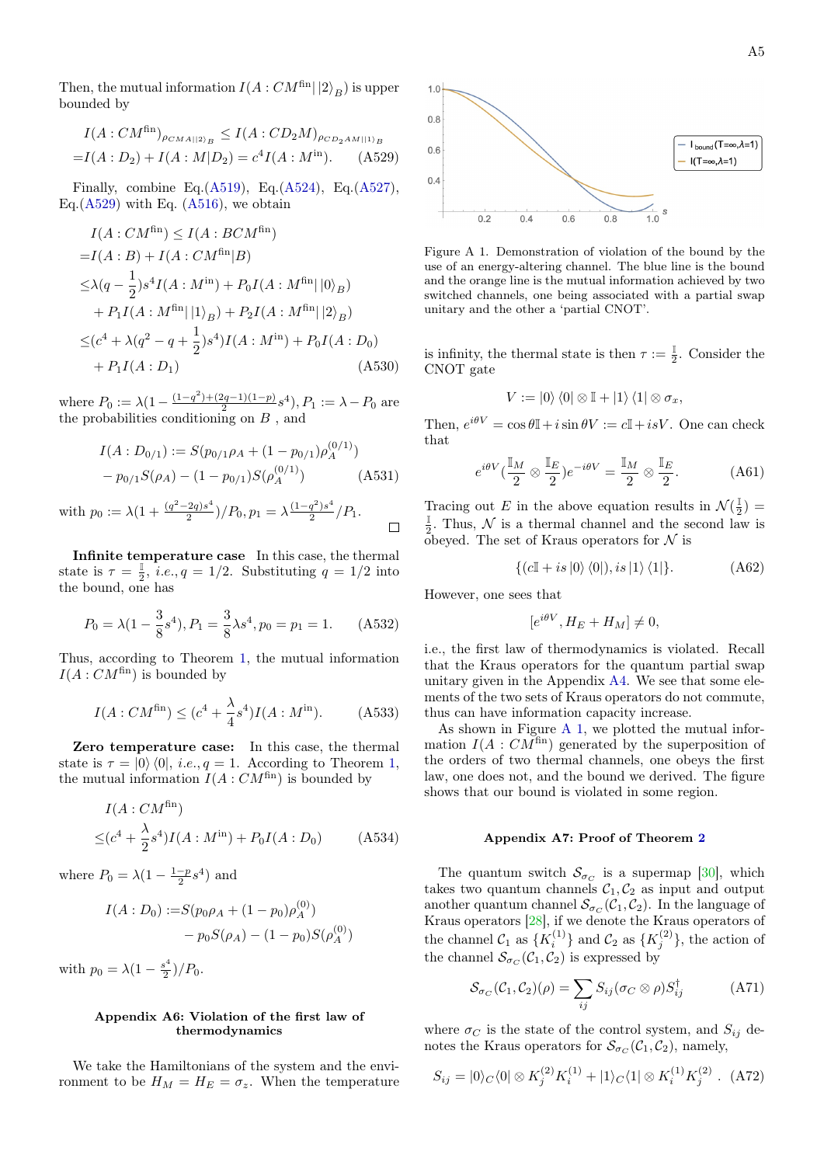Then, the mutual information  $I(A:CM^{\text{fin}}||2\rangle_B)$  is upper bounded by

$$
I(A:CM^{\text{fin}})_{\rho_{CMA||2\rangle_B}} \le I(A:CD_2M)_{\rho_{CD_2AM||1\rangle_B}
$$
  
= $I(A:D_2) + I(A:M|D_2) = c^4 I(A:M^{\text{in}}).$  (A529)

Finally, combine Eq.[\(A519\)](#page-9-1), Eq.[\(A524\)](#page-9-2), Eq.[\(A527\)](#page-9-3), Eq.  $(A529)$  with Eq.  $(A516)$ , we obtain

$$
I(A:CM^{\text{fin}}) \leq I(A:BCM^{\text{fin}})
$$
  
= $I(A:B) + I(A:CM^{\text{fin}}|B)$   
 $\leq \lambda (q - \frac{1}{2})s^4 I(A:M^{\text{fin}}) + P_0 I(A:M^{\text{fin}}|0\rangle_B)$   
+  $P_1 I(A:M^{\text{fin}}|1\rangle_B) + P_2 I(A:M^{\text{fin}}|2\rangle_B)$   
 $\leq (c^4 + \lambda (q^2 - q + \frac{1}{2})s^4)I(A:M^{\text{in}}) + P_0 I(A: D_0)$   
+  $P_1 I(A: D_1)$  (A530)

where  $P_0 := \lambda \left(1 - \frac{(1-q^2) + (2q-1)(1-p)}{2}\right)$  $\frac{2q-1(1-p)}{2}s^4$ ,  $P_1 := \lambda - P_0$  are the probabilities conditioning on B , and

$$
I(A: D_{0/1}) := S(p_{0/1}\rho_A + (1 - p_{0/1})\rho_A^{(0/1)})
$$
  
-  $p_{0/1}S(\rho_A) - (1 - p_{0/1})S(\rho_A^{(0/1)})$  (A531)

with  $p_0 := \lambda(1 + \frac{(q^2-2q)s^4}{2})$  $\frac{(2q)s^4}{2})/P_0, p_1 = \lambda \frac{(1-q^2)s^4}{2}$  $\frac{q^2}{2}$ / $P_1$ .  $\Box$ 

Infinite temperature case In this case, the thermal state is  $\tau = \frac{1}{2}$  $\frac{1}{2}$ , *i.e.*,  $q = 1/2$ . Substituting  $q = 1/2$  into the bound, one has

$$
P_0 = \lambda (1 - \frac{3}{8}s^4), P_1 = \frac{3}{8}\lambda s^4, p_0 = p_1 = 1.
$$
 (A532)

Thus, according to Theorem [1,](#page-2-1) the mutual information  $I(A:CM<sup>fin</sup>)$  is bounded by

$$
I(A:CM^{\text{fin}}) \le (c^4 + \frac{\lambda}{4}s^4)I(A:M^{\text{in}}). \tag{A533}
$$

Zero temperature case: In this case, the thermal state is  $\tau = |0\rangle\langle 0|, i.e., q = 1$ . According to Theorem [1,](#page-2-1) the mutual information  $I(A:CM^{\text{fin}})$  is bounded by

$$
I(A:CM^{\text{fin}})
$$
  
 
$$
\leq (c^4 + \frac{\lambda}{2}s^4)I(A:M^{\text{in}}) + P_0I(A:D_0)
$$
 (A534)

where  $P_0 = \lambda(1 - \frac{1-p}{2}s^4)$  and

$$
I(A: D_0) := S(p_0 \rho_A + (1 - p_0) \rho_A^{(0)}) - p_0 S(\rho_A) - (1 - p_0) S(\rho_A^{(0)})
$$

with  $p_0 = \lambda(1 - \frac{s^4}{2})$  $\frac{3^2}{2})/P_0.$ 

### <span id="page-10-1"></span>Appendix A6: Violation of the first law of thermodynamics

We take the Hamiltonians of the system and the environment to be  $H_M = H_E = \sigma_z$ . When the temperature

<span id="page-10-4"></span>

Figure A 1. Demonstration of violation of the bound by the use of an energy-altering channel. The blue line is the bound and the orange line is the mutual information achieved by two switched channels, one being associated with a partial swap unitary and the other a 'partial CNOT'.

is infinity, the thermal state is then  $\tau := \frac{1}{2}$ . Consider the CNOT gate

$$
V := |0\rangle\langle 0| \otimes \mathbb{I} + |1\rangle\langle 1| \otimes \sigma_x,
$$

Then,  $e^{i\theta V} = \cos \theta \mathbb{I} + i \sin \theta V := c \mathbb{I} + i s V$ . One can check that

$$
e^{i\theta V} \left(\frac{\mathbb{I}_M}{2} \otimes \frac{\mathbb{I}_E}{2}\right) e^{-i\theta V} = \frac{\mathbb{I}_M}{2} \otimes \frac{\mathbb{I}_E}{2}.
$$
 (A61)

<span id="page-10-0"></span>Tracing out E in the above equation results in  $\mathcal{N}(\frac{1}{5})$  $\frac{1}{2}) =$ I  $\frac{1}{2}$ . Thus, N is a thermal channel and the second law is obeyed. The set of Kraus operators for  $N$  is

$$
\{(c\mathbb{I} + is \ket{0} \bra{0}), is \ket{1} \bra{1}\}.
$$
 (A62)

However, one sees that

$$
[e^{i\theta V}, H_E + H_M] \neq 0,
$$

i.e., the first law of thermodynamics is violated. Recall that the Kraus operators for the quantum partial swap unitary given in the Appendix [A4.](#page-7-0) We see that some elements of the two sets of Kraus operators do not commute, thus can have information capacity increase.

As shown in Figure [A 1,](#page-0-0) we plotted the mutual information  $I(A:CM<sup>fin</sup>)$  generated by the superposition of the orders of two thermal channels, one obeys the first law, one does not, and the bound we derived. The figure shows that our bound is violated in some region.

#### <span id="page-10-2"></span>Appendix A7: Proof of Theorem [2](#page-3-0)

The quantum switch  $S_{\sigma_C}$  is a supermap [\[30\]](#page-4-20), which takes two quantum channels  $C_1, C_2$  as input and output another quantum channel  $\mathcal{S}_{\sigma_C}(\mathcal{C}_1, \mathcal{C}_2)$ . In the language of Kraus operators [\[28\]](#page-4-18), if we denote the Kraus operators of the channel  $C_1$  as  $\{K_i^{(1)}\}$  and  $C_2$  as  $\{K_j^{(2)}\}$ , the action of the channel  $\mathcal{S}_{\sigma_C}(\mathcal{C}_1, \mathcal{C}_2)$  is expressed by

<span id="page-10-3"></span>
$$
S_{\sigma_C}(\mathcal{C}_1, \mathcal{C}_2)(\rho) = \sum_{ij} S_{ij} (\sigma_C \otimes \rho) S_{ij}^{\dagger}
$$
 (A71)

where  $\sigma_C$  is the state of the control system, and  $S_{ij}$  denotes the Kraus operators for  $\mathcal{S}_{\sigma_C}(\mathcal{C}_1, \mathcal{C}_2)$ , namely,

$$
S_{ij} = |0\rangle_C\langle 0| \otimes K_j^{(2)}K_i^{(1)} + |1\rangle_C\langle 1| \otimes K_i^{(1)}K_j^{(2)}.
$$
 (A72)